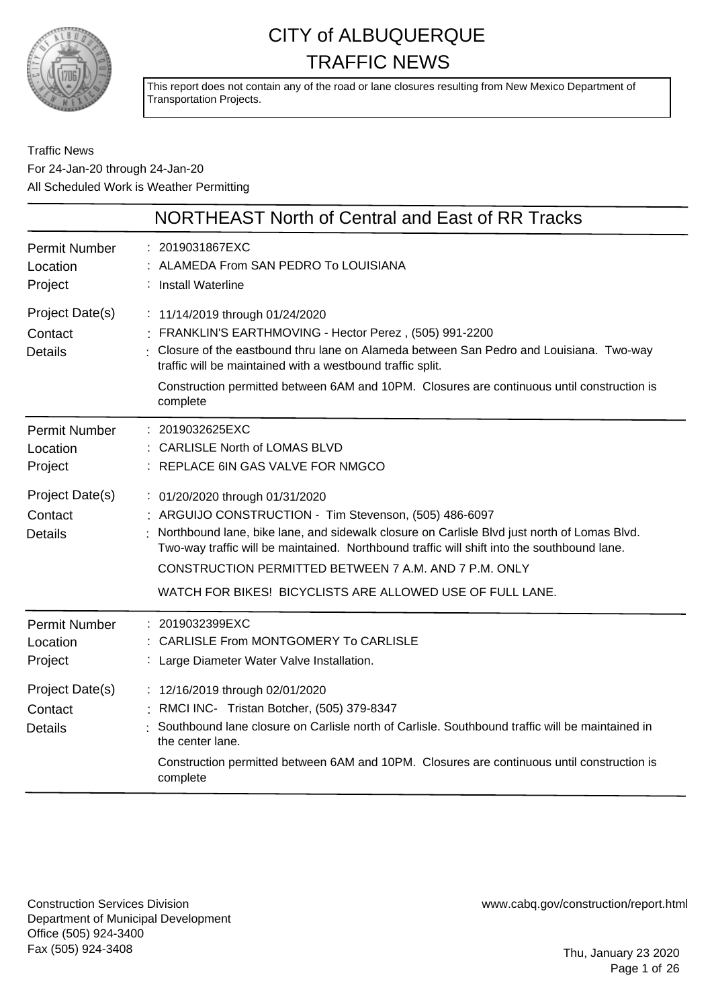

This report does not contain any of the road or lane closures resulting from New Mexico Department of Transportation Projects.

Traffic News For 24-Jan-20 through 24-Jan-20 All Scheduled Work is Weather Permitting

|                                              | <b>NORTHEAST North of Central and East of RR Tracks</b>                                                                                                                                                                                                                                                                                                                                                         |
|----------------------------------------------|-----------------------------------------------------------------------------------------------------------------------------------------------------------------------------------------------------------------------------------------------------------------------------------------------------------------------------------------------------------------------------------------------------------------|
| <b>Permit Number</b><br>Location<br>Project  | : 2019031867EXC<br>: ALAMEDA From SAN PEDRO To LOUISIANA<br>: Install Waterline                                                                                                                                                                                                                                                                                                                                 |
| Project Date(s)<br>Contact<br><b>Details</b> | : 11/14/2019 through 01/24/2020<br>: FRANKLIN'S EARTHMOVING - Hector Perez, (505) 991-2200<br>: Closure of the eastbound thru lane on Alameda between San Pedro and Louisiana. Two-way<br>traffic will be maintained with a westbound traffic split.<br>Construction permitted between 6AM and 10PM. Closures are continuous until construction is<br>complete                                                  |
| <b>Permit Number</b><br>Location<br>Project  | : 2019032625EXC<br>: CARLISLE North of LOMAS BLVD<br>: REPLACE 6IN GAS VALVE FOR NMGCO                                                                                                                                                                                                                                                                                                                          |
| Project Date(s)<br>Contact<br><b>Details</b> | : 01/20/2020 through 01/31/2020<br>: ARGUIJO CONSTRUCTION - Tim Stevenson, (505) 486-6097<br>: Northbound lane, bike lane, and sidewalk closure on Carlisle Blvd just north of Lomas Blvd.<br>Two-way traffic will be maintained. Northbound traffic will shift into the southbound lane.<br>CONSTRUCTION PERMITTED BETWEEN 7 A.M. AND 7 P.M. ONLY<br>WATCH FOR BIKES! BICYCLISTS ARE ALLOWED USE OF FULL LANE. |
| <b>Permit Number</b><br>Location<br>Project  | : 2019032399EXC<br>: CARLISLE From MONTGOMERY To CARLISLE<br>: Large Diameter Water Valve Installation.                                                                                                                                                                                                                                                                                                         |
| Project Date(s)<br>Contact<br><b>Details</b> | : 12/16/2019 through 02/01/2020<br>: RMCI INC- Tristan Botcher, (505) 379-8347<br>Southbound lane closure on Carlisle north of Carlisle. Southbound traffic will be maintained in<br>the center lane.<br>Construction permitted between 6AM and 10PM. Closures are continuous until construction is<br>complete                                                                                                 |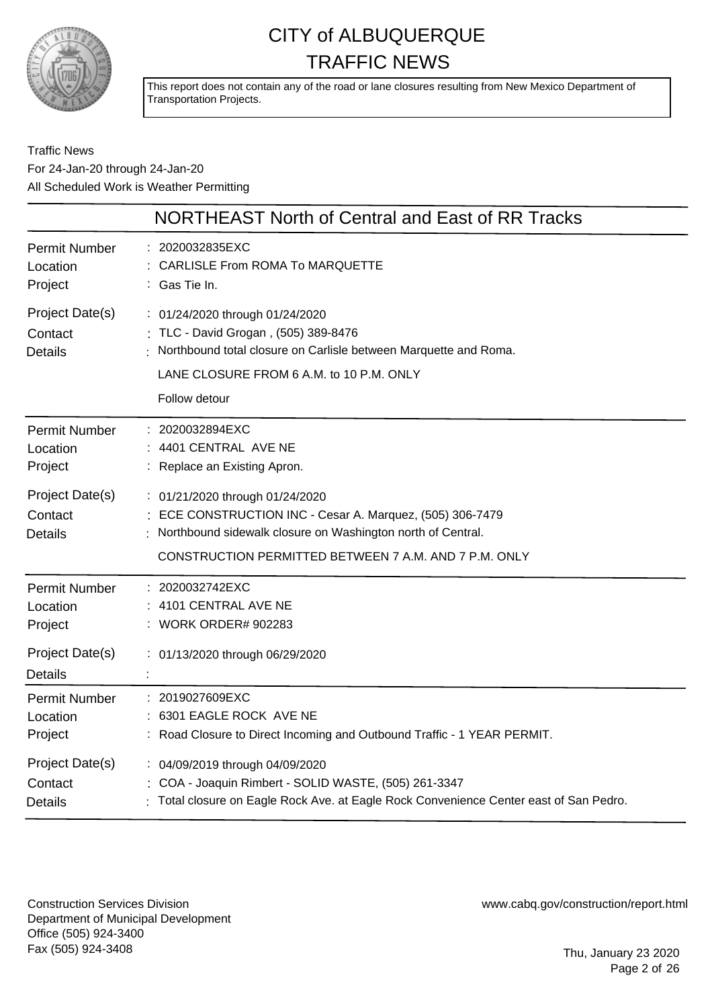

This report does not contain any of the road or lane closures resulting from New Mexico Department of Transportation Projects.

### Traffic News For 24-Jan-20 through 24-Jan-20 All Scheduled Work is Weather Permitting

|                                              | NORTHEAST North of Central and East of RR Tracks                                                                                                                                                                     |
|----------------------------------------------|----------------------------------------------------------------------------------------------------------------------------------------------------------------------------------------------------------------------|
| <b>Permit Number</b>                         | 2020032835EXC                                                                                                                                                                                                        |
| Location                                     | <b>CARLISLE From ROMA To MARQUETTE</b>                                                                                                                                                                               |
| Project                                      | : Gas Tie In.                                                                                                                                                                                                        |
| Project Date(s)<br>Contact<br><b>Details</b> | : 01/24/2020 through 01/24/2020<br>: TLC - David Grogan, (505) 389-8476<br>Northbound total closure on Carlisle between Marquette and Roma.<br>LANE CLOSURE FROM 6 A.M. to 10 P.M. ONLY<br>Follow detour             |
| <b>Permit Number</b>                         | : 2020032894EXC                                                                                                                                                                                                      |
| Location                                     | : 4401 CENTRAL AVE NE                                                                                                                                                                                                |
| Project                                      | : Replace an Existing Apron.                                                                                                                                                                                         |
| Project Date(s)<br>Contact<br><b>Details</b> | : 01/21/2020 through 01/24/2020<br>: ECE CONSTRUCTION INC - Cesar A. Marquez, (505) 306-7479<br>Northbound sidewalk closure on Washington north of Central.<br>CONSTRUCTION PERMITTED BETWEEN 7 A.M. AND 7 P.M. ONLY |
| <b>Permit Number</b>                         | : 2020032742EXC                                                                                                                                                                                                      |
| Location                                     | 4101 CENTRAL AVE NE                                                                                                                                                                                                  |
| Project                                      | : WORK ORDER# 902283                                                                                                                                                                                                 |
| Project Date(s)<br><b>Details</b>            | : 01/13/2020 through 06/29/2020                                                                                                                                                                                      |
| <b>Permit Number</b>                         | : 2019027609EXC                                                                                                                                                                                                      |
| Location                                     | 6301 EAGLE ROCK AVE NE                                                                                                                                                                                               |
| Project                                      | : Road Closure to Direct Incoming and Outbound Traffic - 1 YEAR PERMIT.                                                                                                                                              |
| Project Date(s)                              | : 04/09/2019 through 04/09/2020                                                                                                                                                                                      |
| Contact                                      | : COA - Joaquin Rimbert - SOLID WASTE, (505) 261-3347                                                                                                                                                                |
| Details                                      | Total closure on Eagle Rock Ave. at Eagle Rock Convenience Center east of San Pedro.                                                                                                                                 |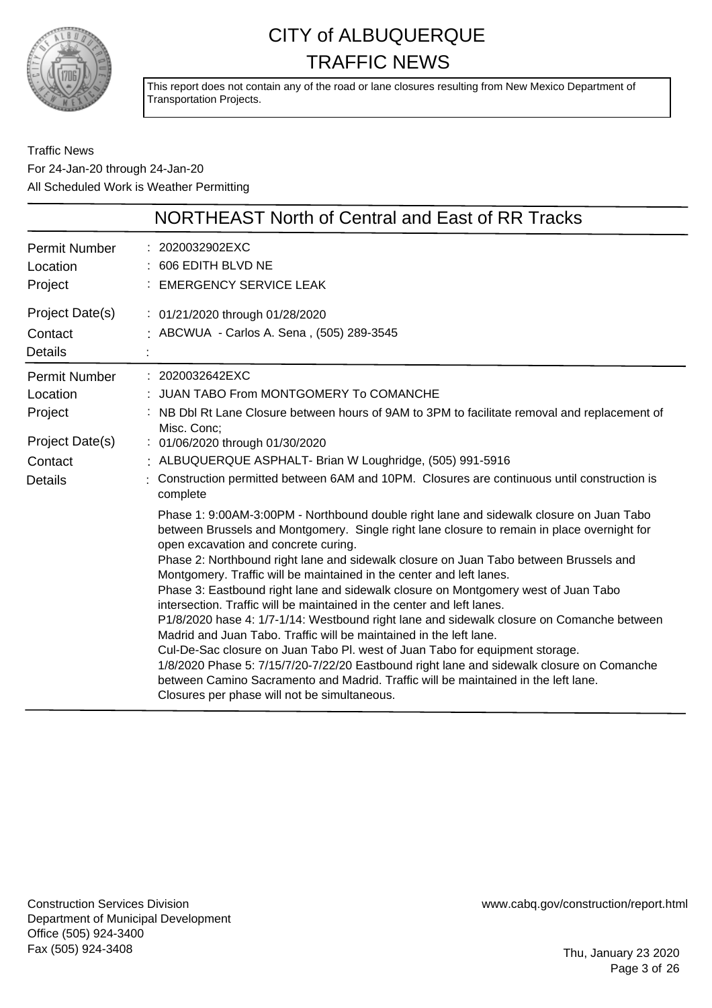

This report does not contain any of the road or lane closures resulting from New Mexico Department of Transportation Projects.

### Traffic News For 24-Jan-20 through 24-Jan-20 All Scheduled Work is Weather Permitting

|                                                                                      | NORTHEAST North of Central and East of RR Tracks                                                                                                                                                                                                                                                                                                                                                                                                                                                                                                                                                                                                                                                                                                                                                                                                                                                                                                                                                                                                                                                                                                                                                                                                                                                                                                                                                                                          |
|--------------------------------------------------------------------------------------|-------------------------------------------------------------------------------------------------------------------------------------------------------------------------------------------------------------------------------------------------------------------------------------------------------------------------------------------------------------------------------------------------------------------------------------------------------------------------------------------------------------------------------------------------------------------------------------------------------------------------------------------------------------------------------------------------------------------------------------------------------------------------------------------------------------------------------------------------------------------------------------------------------------------------------------------------------------------------------------------------------------------------------------------------------------------------------------------------------------------------------------------------------------------------------------------------------------------------------------------------------------------------------------------------------------------------------------------------------------------------------------------------------------------------------------------|
| <b>Permit Number</b><br>Location<br>Project                                          | : 2020032902EXC<br>606 EDITH BLVD NE<br><b>EMERGENCY SERVICE LEAK</b>                                                                                                                                                                                                                                                                                                                                                                                                                                                                                                                                                                                                                                                                                                                                                                                                                                                                                                                                                                                                                                                                                                                                                                                                                                                                                                                                                                     |
| Project Date(s)<br>Contact<br><b>Details</b>                                         | : 01/21/2020 through 01/28/2020<br>: ABCWUA - Carlos A. Sena, (505) 289-3545                                                                                                                                                                                                                                                                                                                                                                                                                                                                                                                                                                                                                                                                                                                                                                                                                                                                                                                                                                                                                                                                                                                                                                                                                                                                                                                                                              |
| Permit Number<br>Location<br>Project<br>Project Date(s)<br>Contact<br><b>Details</b> | : 2020032642EXC<br>JUAN TABO From MONTGOMERY To COMANCHE<br>NB Dbl Rt Lane Closure between hours of 9AM to 3PM to facilitate removal and replacement of<br>Misc. Conc;<br>: 01/06/2020 through 01/30/2020<br>: ALBUQUERQUE ASPHALT- Brian W Loughridge, (505) 991-5916<br>Construction permitted between 6AM and 10PM. Closures are continuous until construction is<br>complete<br>Phase 1: 9:00AM-3:00PM - Northbound double right lane and sidewalk closure on Juan Tabo<br>between Brussels and Montgomery. Single right lane closure to remain in place overnight for<br>open excavation and concrete curing.<br>Phase 2: Northbound right lane and sidewalk closure on Juan Tabo between Brussels and<br>Montgomery. Traffic will be maintained in the center and left lanes.<br>Phase 3: Eastbound right lane and sidewalk closure on Montgomery west of Juan Tabo<br>intersection. Traffic will be maintained in the center and left lanes.<br>P1/8/2020 hase 4: 1/7-1/14: Westbound right lane and sidewalk closure on Comanche between<br>Madrid and Juan Tabo. Traffic will be maintained in the left lane.<br>Cul-De-Sac closure on Juan Tabo Pl. west of Juan Tabo for equipment storage.<br>1/8/2020 Phase 5: 7/15/7/20-7/22/20 Eastbound right lane and sidewalk closure on Comanche<br>between Camino Sacramento and Madrid. Traffic will be maintained in the left lane.<br>Closures per phase will not be simultaneous. |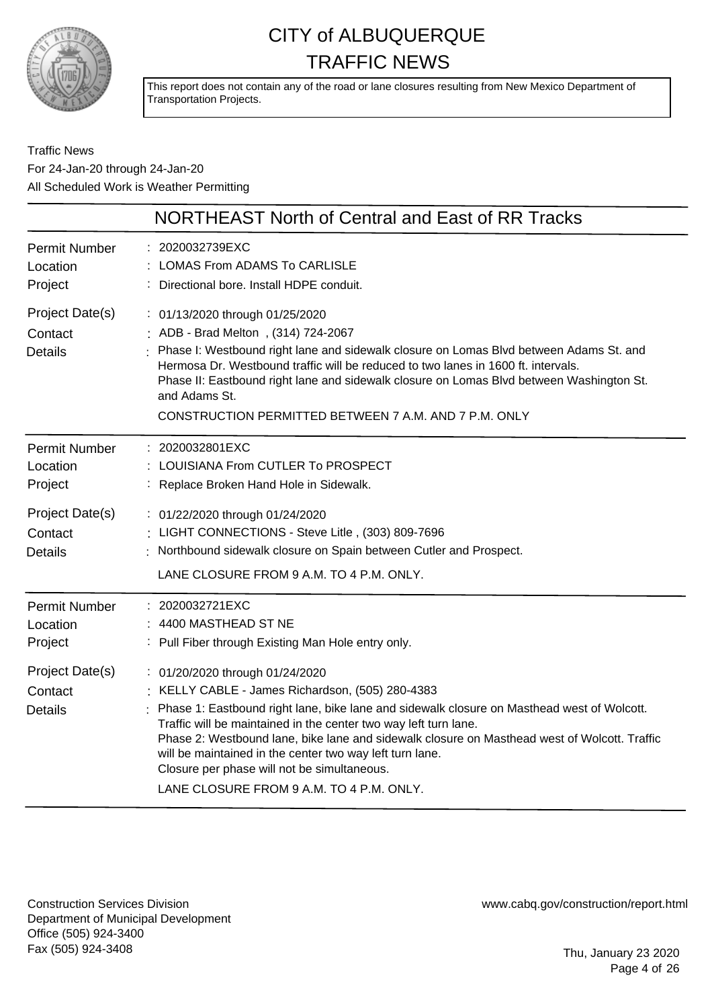

This report does not contain any of the road or lane closures resulting from New Mexico Department of Transportation Projects.

Traffic News For 24-Jan-20 through 24-Jan-20 All Scheduled Work is Weather Permitting

|                                              | NORTHEAST North of Central and East of RR Tracks                                                                                                                                                                                                                                                                                                                                                                                                                                                             |
|----------------------------------------------|--------------------------------------------------------------------------------------------------------------------------------------------------------------------------------------------------------------------------------------------------------------------------------------------------------------------------------------------------------------------------------------------------------------------------------------------------------------------------------------------------------------|
| <b>Permit Number</b><br>Location<br>Project  | : 2020032739EXC<br><b>LOMAS From ADAMS To CARLISLE</b><br>: Directional bore. Install HDPE conduit.                                                                                                                                                                                                                                                                                                                                                                                                          |
| Project Date(s)<br>Contact<br><b>Details</b> | : 01/13/2020 through 01/25/2020<br>: ADB - Brad Melton, (314) 724-2067<br>: Phase I: Westbound right lane and sidewalk closure on Lomas Blvd between Adams St. and<br>Hermosa Dr. Westbound traffic will be reduced to two lanes in 1600 ft. intervals.<br>Phase II: Eastbound right lane and sidewalk closure on Lomas Blvd between Washington St.<br>and Adams St.<br>CONSTRUCTION PERMITTED BETWEEN 7 A.M. AND 7 P.M. ONLY                                                                                |
| <b>Permit Number</b><br>Location<br>Project  | : 2020032801EXC<br>: LOUISIANA From CUTLER To PROSPECT<br>: Replace Broken Hand Hole in Sidewalk.                                                                                                                                                                                                                                                                                                                                                                                                            |
| Project Date(s)<br>Contact<br><b>Details</b> | : 01/22/2020 through 01/24/2020<br>: LIGHT CONNECTIONS - Steve Litle, (303) 809-7696<br>: Northbound sidewalk closure on Spain between Cutler and Prospect.<br>LANE CLOSURE FROM 9 A.M. TO 4 P.M. ONLY.                                                                                                                                                                                                                                                                                                      |
| <b>Permit Number</b><br>Location<br>Project  | : 2020032721EXC<br>: 4400 MASTHEAD ST NE<br>: Pull Fiber through Existing Man Hole entry only.                                                                                                                                                                                                                                                                                                                                                                                                               |
| Project Date(s)<br>Contact<br><b>Details</b> | : 01/20/2020 through 01/24/2020<br>: KELLY CABLE - James Richardson, (505) 280-4383<br>Phase 1: Eastbound right lane, bike lane and sidewalk closure on Masthead west of Wolcott.<br>Traffic will be maintained in the center two way left turn lane.<br>Phase 2: Westbound lane, bike lane and sidewalk closure on Masthead west of Wolcott. Traffic<br>will be maintained in the center two way left turn lane.<br>Closure per phase will not be simultaneous.<br>LANE CLOSURE FROM 9 A.M. TO 4 P.M. ONLY. |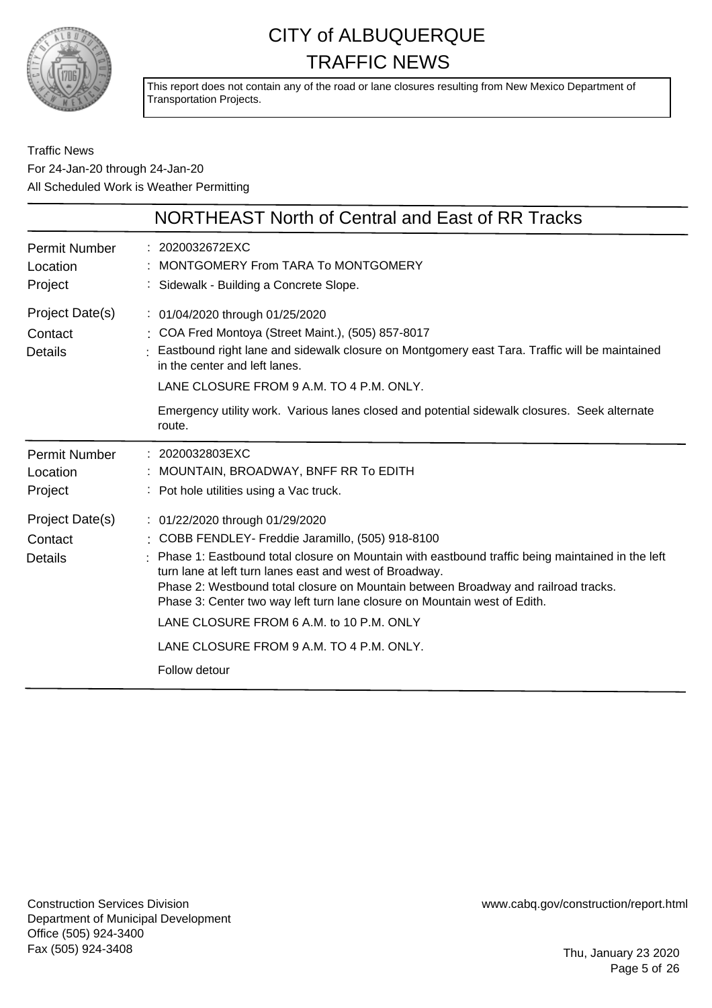

This report does not contain any of the road or lane closures resulting from New Mexico Department of Transportation Projects.

Traffic News For 24-Jan-20 through 24-Jan-20 All Scheduled Work is Weather Permitting

|                                              | NORTHEAST North of Central and East of RR Tracks                                                                                                                                                                                                                                                                                                                                                                                                                                                                              |
|----------------------------------------------|-------------------------------------------------------------------------------------------------------------------------------------------------------------------------------------------------------------------------------------------------------------------------------------------------------------------------------------------------------------------------------------------------------------------------------------------------------------------------------------------------------------------------------|
| <b>Permit Number</b><br>Location<br>Project  | : 2020032672EXC<br>MONTGOMERY From TARA To MONTGOMERY<br>: Sidewalk - Building a Concrete Slope.                                                                                                                                                                                                                                                                                                                                                                                                                              |
| Project Date(s)<br>Contact<br><b>Details</b> | : 01/04/2020 through 01/25/2020<br>: COA Fred Montoya (Street Maint.), (505) 857-8017<br>Eastbound right lane and sidewalk closure on Montgomery east Tara. Traffic will be maintained<br>in the center and left lanes.<br>LANE CLOSURE FROM 9 A.M. TO 4 P.M. ONLY.                                                                                                                                                                                                                                                           |
|                                              | Emergency utility work. Various lanes closed and potential sidewalk closures. Seek alternate<br>route.                                                                                                                                                                                                                                                                                                                                                                                                                        |
| <b>Permit Number</b><br>Location<br>Project  | : 2020032803EXC<br>: MOUNTAIN, BROADWAY, BNFF RR To EDITH<br>: Pot hole utilities using a Vac truck.                                                                                                                                                                                                                                                                                                                                                                                                                          |
| Project Date(s)<br>Contact<br><b>Details</b> | : 01/22/2020 through 01/29/2020<br>COBB FENDLEY- Freddie Jaramillo, (505) 918-8100<br>Phase 1: Eastbound total closure on Mountain with eastbound traffic being maintained in the left<br>turn lane at left turn lanes east and west of Broadway.<br>Phase 2: Westbound total closure on Mountain between Broadway and railroad tracks.<br>Phase 3: Center two way left turn lane closure on Mountain west of Edith.<br>LANE CLOSURE FROM 6 A.M. to 10 P.M. ONLY<br>LANE CLOSURE FROM 9 A.M. TO 4 P.M. ONLY.<br>Follow detour |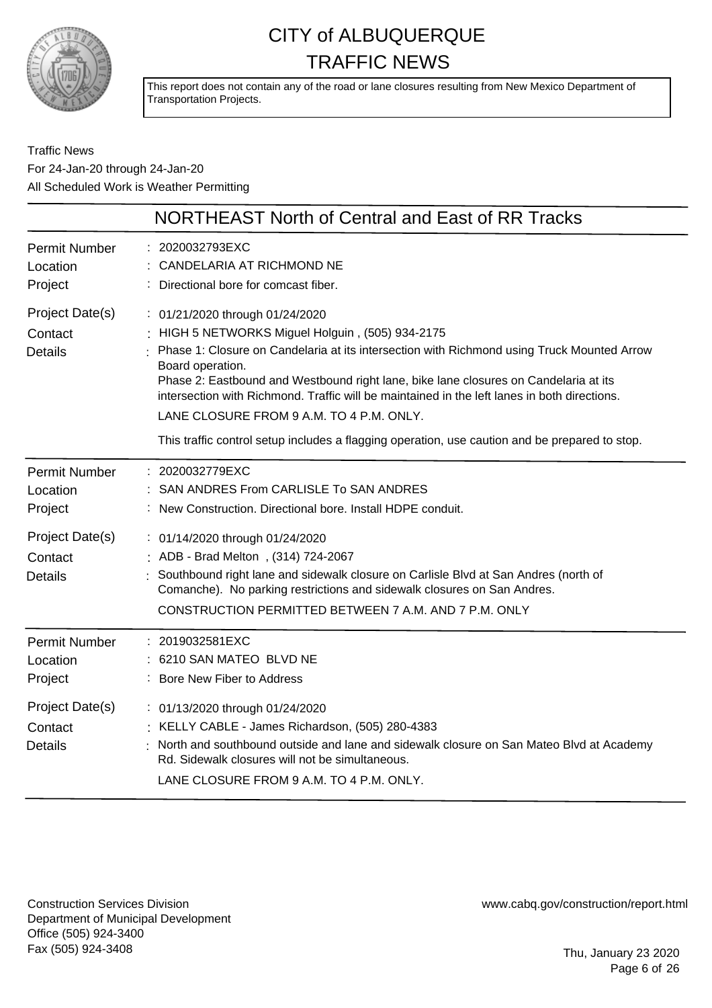

This report does not contain any of the road or lane closures resulting from New Mexico Department of Transportation Projects.

Traffic News For 24-Jan-20 through 24-Jan-20 All Scheduled Work is Weather Permitting

|                                              | NORTHEAST North of Central and East of RR Tracks                                                                                                                                                                                                                                                                                                                                                                                                                                                                                          |
|----------------------------------------------|-------------------------------------------------------------------------------------------------------------------------------------------------------------------------------------------------------------------------------------------------------------------------------------------------------------------------------------------------------------------------------------------------------------------------------------------------------------------------------------------------------------------------------------------|
| <b>Permit Number</b><br>Location<br>Project  | : 2020032793EXC<br>: CANDELARIA AT RICHMOND NE<br>Directional bore for comcast fiber.                                                                                                                                                                                                                                                                                                                                                                                                                                                     |
| Project Date(s)<br>Contact<br><b>Details</b> | : 01/21/2020 through 01/24/2020<br>HIGH 5 NETWORKS Miguel Holguin, (505) 934-2175<br>Phase 1: Closure on Candelaria at its intersection with Richmond using Truck Mounted Arrow<br>Board operation.<br>Phase 2: Eastbound and Westbound right lane, bike lane closures on Candelaria at its<br>intersection with Richmond. Traffic will be maintained in the left lanes in both directions.<br>LANE CLOSURE FROM 9 A.M. TO 4 P.M. ONLY.<br>This traffic control setup includes a flagging operation, use caution and be prepared to stop. |
| <b>Permit Number</b><br>Location<br>Project  | : 2020032779EXC<br>SAN ANDRES From CARLISLE To SAN ANDRES<br>: New Construction. Directional bore. Install HDPE conduit.                                                                                                                                                                                                                                                                                                                                                                                                                  |
| Project Date(s)<br>Contact<br><b>Details</b> | : 01/14/2020 through 01/24/2020<br>ADB - Brad Melton, (314) 724-2067<br>Southbound right lane and sidewalk closure on Carlisle Blvd at San Andres (north of<br>Comanche). No parking restrictions and sidewalk closures on San Andres.<br>CONSTRUCTION PERMITTED BETWEEN 7 A.M. AND 7 P.M. ONLY                                                                                                                                                                                                                                           |
| <b>Permit Number</b><br>Location<br>Project  | : 2019032581EXC<br>: 6210 SAN MATEO BLVD NE<br>: Bore New Fiber to Address                                                                                                                                                                                                                                                                                                                                                                                                                                                                |
| Project Date(s)<br>Contact<br><b>Details</b> | : 01/13/2020 through 01/24/2020<br>: KELLY CABLE - James Richardson, (505) 280-4383<br>North and southbound outside and lane and sidewalk closure on San Mateo Blvd at Academy<br>Rd. Sidewalk closures will not be simultaneous.<br>LANE CLOSURE FROM 9 A.M. TO 4 P.M. ONLY.                                                                                                                                                                                                                                                             |

Construction Services Division Department of Municipal Development Office (505) 924-3400 Fax (505) 924-3408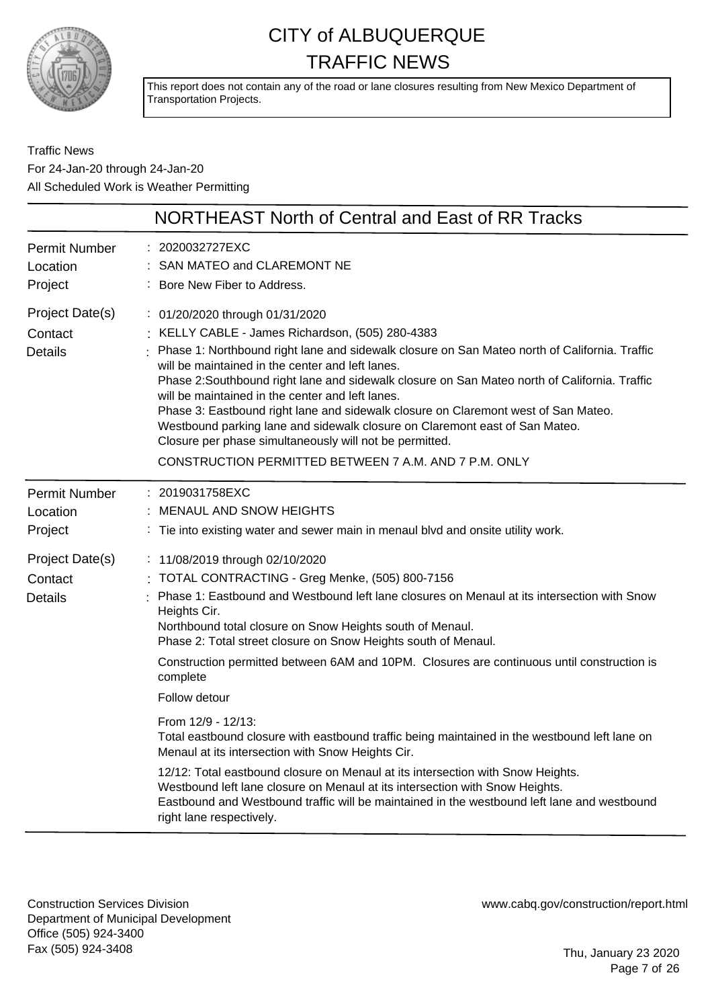

This report does not contain any of the road or lane closures resulting from New Mexico Department of Transportation Projects.

Traffic News For 24-Jan-20 through 24-Jan-20 All Scheduled Work is Weather Permitting

|                                              | <b>NORTHEAST North of Central and East of RR Tracks</b>                                                                                                                                                                                                                                                                                                                                                                                                                                                                                                                                                                                                                             |
|----------------------------------------------|-------------------------------------------------------------------------------------------------------------------------------------------------------------------------------------------------------------------------------------------------------------------------------------------------------------------------------------------------------------------------------------------------------------------------------------------------------------------------------------------------------------------------------------------------------------------------------------------------------------------------------------------------------------------------------------|
| <b>Permit Number</b><br>Location<br>Project  | : 2020032727EXC<br>SAN MATEO and CLAREMONT NE<br>Bore New Fiber to Address.                                                                                                                                                                                                                                                                                                                                                                                                                                                                                                                                                                                                         |
| Project Date(s)<br>Contact<br><b>Details</b> | : 01/20/2020 through 01/31/2020<br>KELLY CABLE - James Richardson, (505) 280-4383<br>Phase 1: Northbound right lane and sidewalk closure on San Mateo north of California. Traffic<br>will be maintained in the center and left lanes.<br>Phase 2:Southbound right lane and sidewalk closure on San Mateo north of California. Traffic<br>will be maintained in the center and left lanes.<br>Phase 3: Eastbound right lane and sidewalk closure on Claremont west of San Mateo.<br>Westbound parking lane and sidewalk closure on Claremont east of San Mateo.<br>Closure per phase simultaneously will not be permitted.<br>CONSTRUCTION PERMITTED BETWEEN 7 A.M. AND 7 P.M. ONLY |
| <b>Permit Number</b><br>Location<br>Project  | : 2019031758EXC<br>MENAUL AND SNOW HEIGHTS<br>Tie into existing water and sewer main in menaul blvd and onsite utility work.                                                                                                                                                                                                                                                                                                                                                                                                                                                                                                                                                        |
| Project Date(s)<br>Contact<br><b>Details</b> | : 11/08/2019 through 02/10/2020<br>TOTAL CONTRACTING - Greg Menke, (505) 800-7156<br>Phase 1: Eastbound and Westbound left lane closures on Menaul at its intersection with Snow<br>Heights Cir.<br>Northbound total closure on Snow Heights south of Menaul.<br>Phase 2: Total street closure on Snow Heights south of Menaul.<br>Construction permitted between 6AM and 10PM. Closures are continuous until construction is<br>complete<br>Follow detour                                                                                                                                                                                                                          |
|                                              | From 12/9 - 12/13:<br>Total eastbound closure with eastbound traffic being maintained in the westbound left lane on<br>Menaul at its intersection with Snow Heights Cir.<br>12/12: Total eastbound closure on Menaul at its intersection with Snow Heights.<br>Westbound left lane closure on Menaul at its intersection with Snow Heights.<br>Eastbound and Westbound traffic will be maintained in the westbound left lane and westbound<br>right lane respectively.                                                                                                                                                                                                              |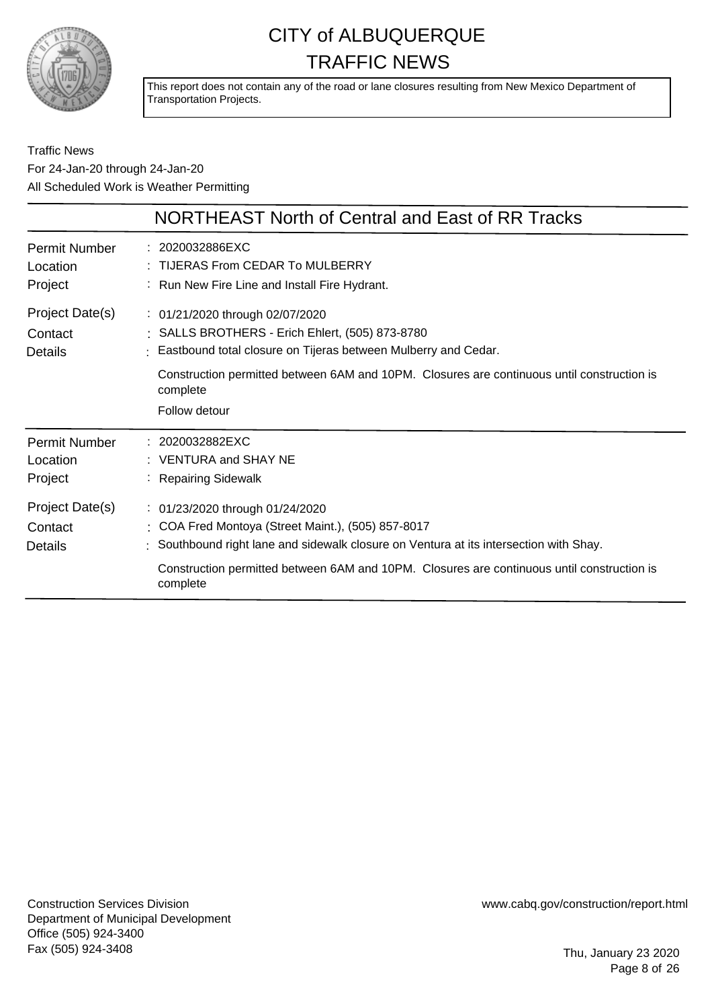

This report does not contain any of the road or lane closures resulting from New Mexico Department of Transportation Projects.

Traffic News For 24-Jan-20 through 24-Jan-20 All Scheduled Work is Weather Permitting

|                                              | NORTHEAST North of Central and East of RR Tracks                                                                                                                                                                                                                                          |
|----------------------------------------------|-------------------------------------------------------------------------------------------------------------------------------------------------------------------------------------------------------------------------------------------------------------------------------------------|
| Permit Number<br>Location<br>Project         | $: 2020032886$ EXC<br>: TIJERAS From CEDAR To MULBERRY<br>: Run New Fire Line and Install Fire Hydrant.                                                                                                                                                                                   |
| Project Date(s)<br>Contact<br><b>Details</b> | : 01/21/2020 through 02/07/2020<br>: SALLS BROTHERS - Erich Ehlert, (505) 873-8780<br>Eastbound total closure on Tijeras between Mulberry and Cedar.<br>Construction permitted between 6AM and 10PM. Closures are continuous until construction is<br>complete<br>Follow detour           |
| Permit Number<br>Location<br>Project         | : 2020032882EXC<br>$:$ VENTURA and SHAY NE<br>: Repairing Sidewalk                                                                                                                                                                                                                        |
| Project Date(s)<br>Contact<br>Details        | : 01/23/2020 through 01/24/2020<br>: COA Fred Montoya (Street Maint.), (505) 857-8017<br>: Southbound right lane and sidewalk closure on Ventura at its intersection with Shay.<br>Construction permitted between 6AM and 10PM. Closures are continuous until construction is<br>complete |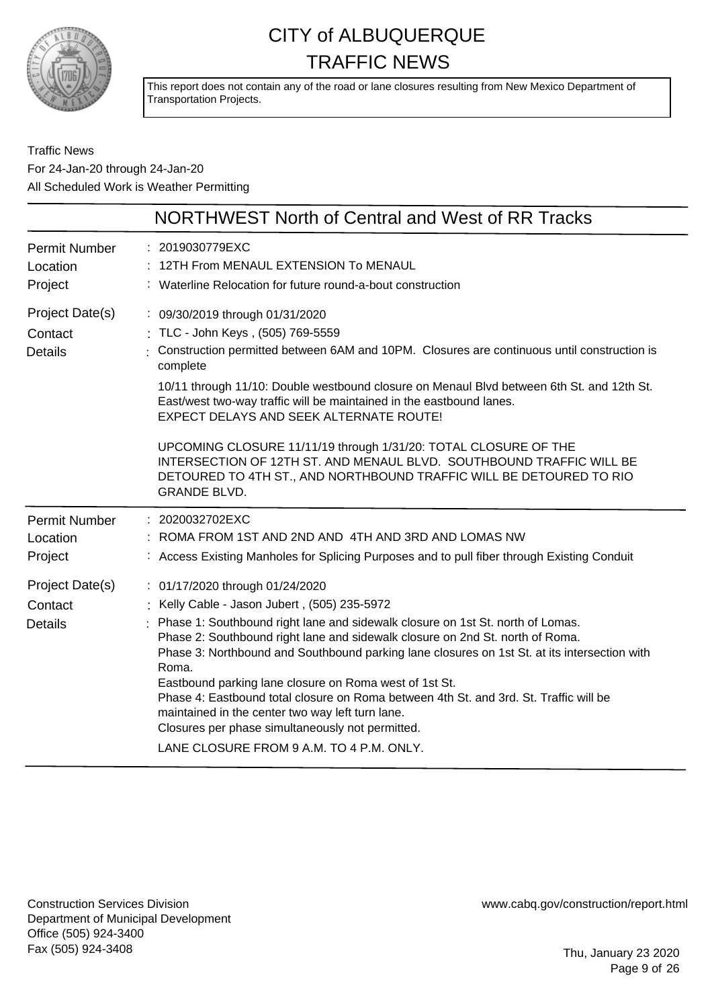

This report does not contain any of the road or lane closures resulting from New Mexico Department of Transportation Projects.

Traffic News For 24-Jan-20 through 24-Jan-20 All Scheduled Work is Weather Permitting

|                                              | <b>NORTHWEST North of Central and West of RR Tracks</b>                                                                                                                                                                                                                                                                                                                                                                                                                                                                                                                                                                                                          |
|----------------------------------------------|------------------------------------------------------------------------------------------------------------------------------------------------------------------------------------------------------------------------------------------------------------------------------------------------------------------------------------------------------------------------------------------------------------------------------------------------------------------------------------------------------------------------------------------------------------------------------------------------------------------------------------------------------------------|
| <b>Permit Number</b><br>Location<br>Project  | : 2019030779EXC<br>12TH From MENAUL EXTENSION To MENAUL<br>: Waterline Relocation for future round-a-bout construction                                                                                                                                                                                                                                                                                                                                                                                                                                                                                                                                           |
| Project Date(s)<br>Contact<br><b>Details</b> | : 09/30/2019 through 01/31/2020<br>: TLC - John Keys, (505) 769-5559<br>Construction permitted between 6AM and 10PM. Closures are continuous until construction is<br>complete<br>10/11 through 11/10: Double westbound closure on Menaul Blvd between 6th St. and 12th St.<br>East/west two-way traffic will be maintained in the eastbound lanes.<br>EXPECT DELAYS AND SEEK ALTERNATE ROUTE!<br>UPCOMING CLOSURE 11/11/19 through 1/31/20: TOTAL CLOSURE OF THE<br>INTERSECTION OF 12TH ST. AND MENAUL BLVD. SOUTHBOUND TRAFFIC WILL BE<br>DETOURED TO 4TH ST., AND NORTHBOUND TRAFFIC WILL BE DETOURED TO RIO<br><b>GRANDE BLVD.</b>                          |
| <b>Permit Number</b><br>Location<br>Project  | : 2020032702EXC<br>: ROMA FROM 1ST AND 2ND AND 4TH AND 3RD AND LOMAS NW<br>: Access Existing Manholes for Splicing Purposes and to pull fiber through Existing Conduit                                                                                                                                                                                                                                                                                                                                                                                                                                                                                           |
| Project Date(s)<br>Contact<br><b>Details</b> | : 01/17/2020 through 01/24/2020<br>Kelly Cable - Jason Jubert, (505) 235-5972<br>Phase 1: Southbound right lane and sidewalk closure on 1st St. north of Lomas.<br>Phase 2: Southbound right lane and sidewalk closure on 2nd St. north of Roma.<br>Phase 3: Northbound and Southbound parking lane closures on 1st St. at its intersection with<br>Roma.<br>Eastbound parking lane closure on Roma west of 1st St.<br>Phase 4: Eastbound total closure on Roma between 4th St. and 3rd. St. Traffic will be<br>maintained in the center two way left turn lane.<br>Closures per phase simultaneously not permitted.<br>LANE CLOSURE FROM 9 A.M. TO 4 P.M. ONLY. |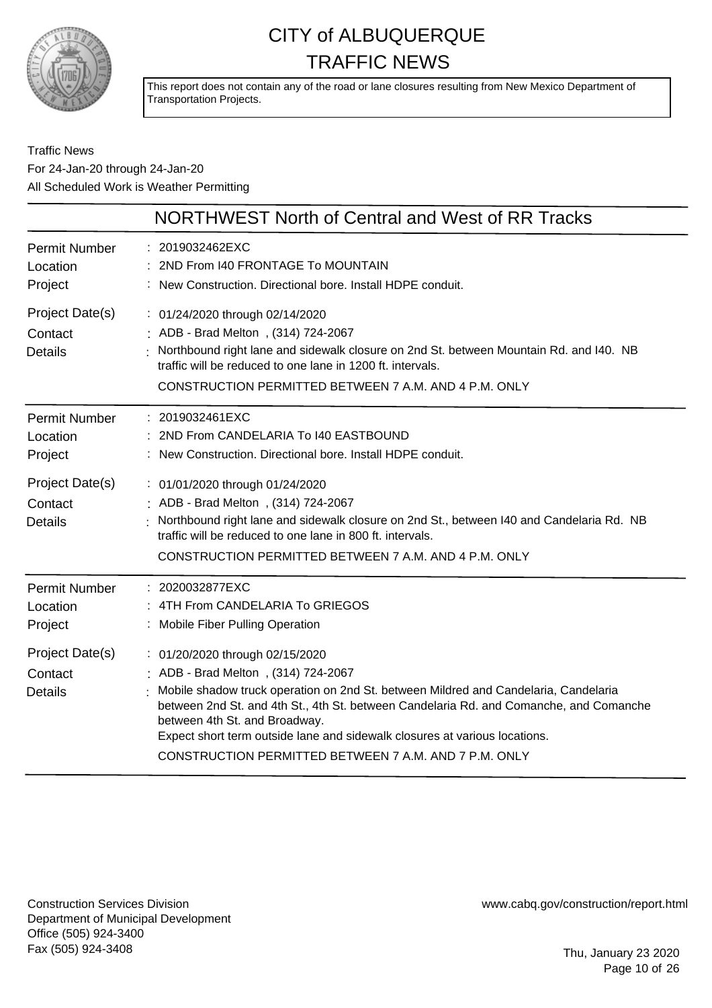

This report does not contain any of the road or lane closures resulting from New Mexico Department of Transportation Projects.

### Traffic News For 24-Jan-20 through 24-Jan-20 All Scheduled Work is Weather Permitting

| : Northbound right lane and sidewalk closure on 2nd St. between Mountain Rd. and I40. NB                                                                                        |
|---------------------------------------------------------------------------------------------------------------------------------------------------------------------------------|
| Northbound right lane and sidewalk closure on 2nd St., between I40 and Candelaria Rd. NB                                                                                        |
| : Mobile shadow truck operation on 2nd St. between Mildred and Candelaria, Candelaria<br>between 2nd St. and 4th St., 4th St. between Candelaria Rd. and Comanche, and Comanche |
|                                                                                                                                                                                 |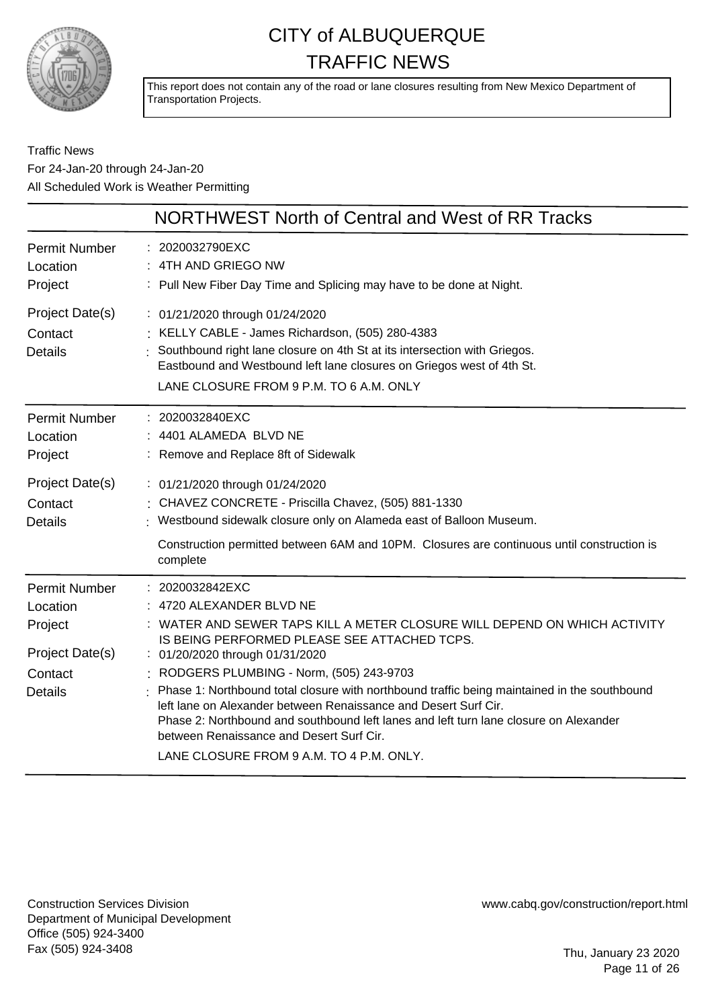

This report does not contain any of the road or lane closures resulting from New Mexico Department of Transportation Projects.

### Traffic News For 24-Jan-20 through 24-Jan-20 All Scheduled Work is Weather Permitting

|                                                                                             | NORTHWEST North of Central and West of RR Tracks                                                                                                                                                                                                                                                                                                                                                                                                                                                                                                                                                               |
|---------------------------------------------------------------------------------------------|----------------------------------------------------------------------------------------------------------------------------------------------------------------------------------------------------------------------------------------------------------------------------------------------------------------------------------------------------------------------------------------------------------------------------------------------------------------------------------------------------------------------------------------------------------------------------------------------------------------|
| <b>Permit Number</b><br>Location<br>Project                                                 | : 2020032790EXC<br>: 4TH AND GRIEGO NW<br>: Pull New Fiber Day Time and Splicing may have to be done at Night.                                                                                                                                                                                                                                                                                                                                                                                                                                                                                                 |
| Project Date(s)<br>Contact<br><b>Details</b>                                                | : 01/21/2020 through 01/24/2020<br>: KELLY CABLE - James Richardson, (505) 280-4383<br>: Southbound right lane closure on 4th St at its intersection with Griegos.<br>Eastbound and Westbound left lane closures on Griegos west of 4th St.<br>LANE CLOSURE FROM 9 P.M. TO 6 A.M. ONLY                                                                                                                                                                                                                                                                                                                         |
| <b>Permit Number</b><br>Location<br>Project                                                 | : 2020032840EXC<br>4401 ALAMEDA BLVD NE<br>: Remove and Replace 8ft of Sidewalk                                                                                                                                                                                                                                                                                                                                                                                                                                                                                                                                |
| Project Date(s)<br>Contact<br><b>Details</b>                                                | : 01/21/2020 through 01/24/2020<br>: CHAVEZ CONCRETE - Priscilla Chavez, (505) 881-1330<br>: Westbound sidewalk closure only on Alameda east of Balloon Museum.<br>Construction permitted between 6AM and 10PM. Closures are continuous until construction is<br>complete                                                                                                                                                                                                                                                                                                                                      |
| <b>Permit Number</b><br>Location<br>Project<br>Project Date(s)<br>Contact<br><b>Details</b> | : 2020032842EXC<br>: 4720 ALEXANDER BLVD NE<br>: WATER AND SEWER TAPS KILL A METER CLOSURE WILL DEPEND ON WHICH ACTIVITY<br>IS BEING PERFORMED PLEASE SEE ATTACHED TCPS.<br>: 01/20/2020 through 01/31/2020<br>: RODGERS PLUMBING - Norm, (505) 243-9703<br>: Phase 1: Northbound total closure with northbound traffic being maintained in the southbound<br>left lane on Alexander between Renaissance and Desert Surf Cir.<br>Phase 2: Northbound and southbound left lanes and left turn lane closure on Alexander<br>between Renaissance and Desert Surf Cir.<br>LANE CLOSURE FROM 9 A.M. TO 4 P.M. ONLY. |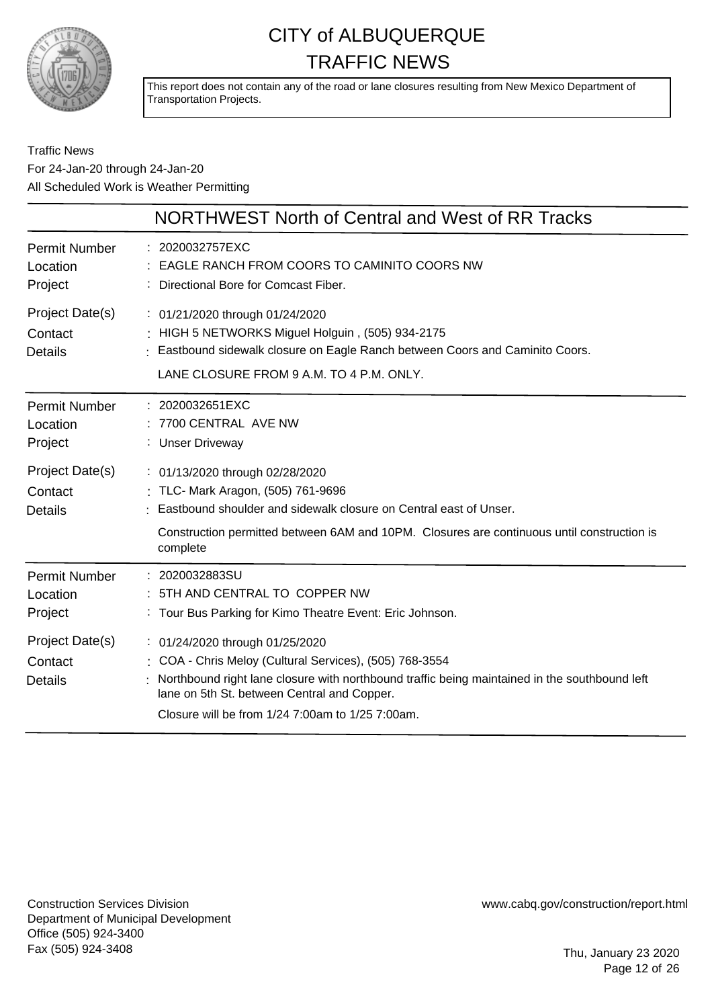

This report does not contain any of the road or lane closures resulting from New Mexico Department of Transportation Projects.

### Traffic News For 24-Jan-20 through 24-Jan-20 All Scheduled Work is Weather Permitting

|                                              | NORTHWEST North of Central and West of RR Tracks                                                                                                                                                                                                                                               |
|----------------------------------------------|------------------------------------------------------------------------------------------------------------------------------------------------------------------------------------------------------------------------------------------------------------------------------------------------|
| <b>Permit Number</b><br>Location<br>Project  | : 2020032757EXC<br>: EAGLE RANCH FROM COORS TO CAMINITO COORS NW<br>: Directional Bore for Comcast Fiber.                                                                                                                                                                                      |
| Project Date(s)<br>Contact<br><b>Details</b> | : 01/21/2020 through 01/24/2020<br>: HIGH 5 NETWORKS Miguel Holguin, (505) 934-2175<br>: Eastbound sidewalk closure on Eagle Ranch between Coors and Caminito Coors.<br>LANE CLOSURE FROM 9 A.M. TO 4 P.M. ONLY.                                                                               |
| <b>Permit Number</b><br>Location<br>Project  | : 2020032651EXC<br>7700 CENTRAL AVE NW<br>: Unser Driveway                                                                                                                                                                                                                                     |
| Project Date(s)<br>Contact<br>Details        | : 01/13/2020 through 02/28/2020<br>: TLC- Mark Aragon, (505) 761-9696<br>: Eastbound shoulder and sidewalk closure on Central east of Unser.<br>Construction permitted between 6AM and 10PM. Closures are continuous until construction is<br>complete                                         |
| <b>Permit Number</b><br>Location<br>Project  | : 2020032883SU<br>: 5TH AND CENTRAL TO COPPER NW<br>: Tour Bus Parking for Kimo Theatre Event: Eric Johnson.                                                                                                                                                                                   |
| Project Date(s)<br>Contact<br><b>Details</b> | : 01/24/2020 through 01/25/2020<br>: COA - Chris Meloy (Cultural Services), (505) 768-3554<br>Northbound right lane closure with northbound traffic being maintained in the southbound left<br>lane on 5th St. between Central and Copper.<br>Closure will be from 1/24 7:00am to 1/25 7:00am. |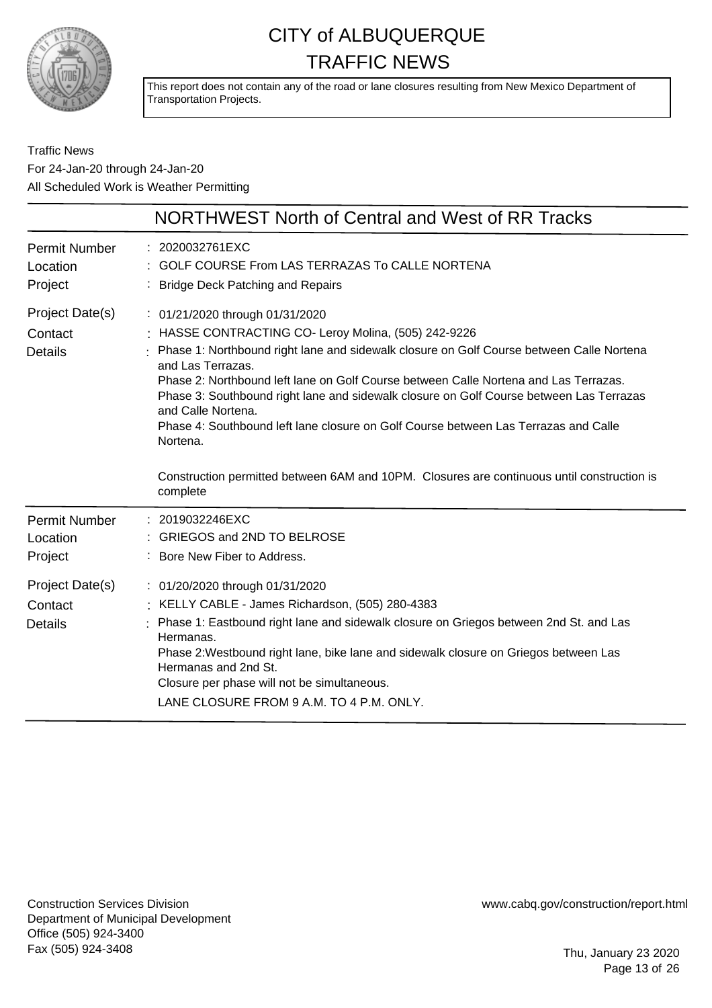

This report does not contain any of the road or lane closures resulting from New Mexico Department of Transportation Projects.

Traffic News For 24-Jan-20 through 24-Jan-20 All Scheduled Work is Weather Permitting

|                                              | NORTHWEST North of Central and West of RR Tracks                                                                                                                                                                                                                                                                                                                                                                                                                                                                                                                                                                   |
|----------------------------------------------|--------------------------------------------------------------------------------------------------------------------------------------------------------------------------------------------------------------------------------------------------------------------------------------------------------------------------------------------------------------------------------------------------------------------------------------------------------------------------------------------------------------------------------------------------------------------------------------------------------------------|
| <b>Permit Number</b><br>Location<br>Project  | 2020032761EXC<br>GOLF COURSE From LAS TERRAZAS To CALLE NORTENA<br>: Bridge Deck Patching and Repairs                                                                                                                                                                                                                                                                                                                                                                                                                                                                                                              |
| Project Date(s)<br>Contact<br><b>Details</b> | : 01/21/2020 through 01/31/2020<br>: HASSE CONTRACTING CO- Leroy Molina, (505) 242-9226<br>Phase 1: Northbound right lane and sidewalk closure on Golf Course between Calle Nortena<br>and Las Terrazas.<br>Phase 2: Northbound left lane on Golf Course between Calle Nortena and Las Terrazas.<br>Phase 3: Southbound right lane and sidewalk closure on Golf Course between Las Terrazas<br>and Calle Nortena.<br>Phase 4: Southbound left lane closure on Golf Course between Las Terrazas and Calle<br>Nortena.<br>Construction permitted between 6AM and 10PM. Closures are continuous until construction is |
| <b>Permit Number</b><br>Location<br>Project  | complete<br>: 2019032246EXC<br>: GRIEGOS and 2ND TO BELROSE<br>: Bore New Fiber to Address.                                                                                                                                                                                                                                                                                                                                                                                                                                                                                                                        |
| Project Date(s)<br>Contact<br><b>Details</b> | : 01/20/2020 through 01/31/2020<br>: KELLY CABLE - James Richardson, (505) 280-4383<br>Phase 1: Eastbound right lane and sidewalk closure on Griegos between 2nd St. and Las<br>Hermanas.<br>Phase 2: Westbound right lane, bike lane and sidewalk closure on Griegos between Las<br>Hermanas and 2nd St.<br>Closure per phase will not be simultaneous.<br>LANE CLOSURE FROM 9 A.M. TO 4 P.M. ONLY.                                                                                                                                                                                                               |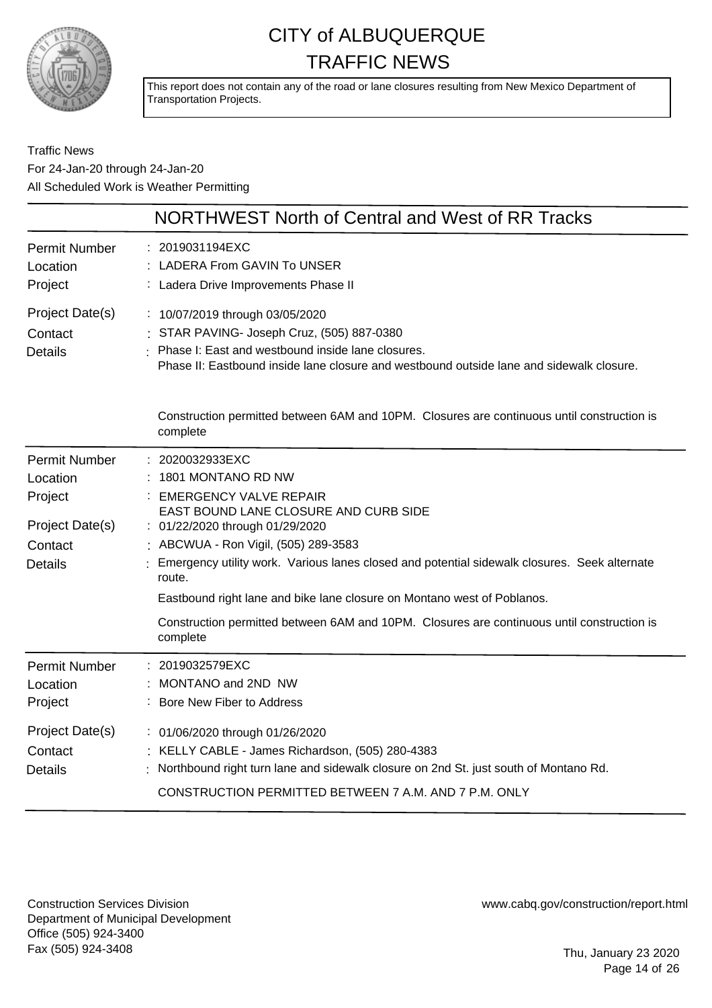

This report does not contain any of the road or lane closures resulting from New Mexico Department of Transportation Projects.

Traffic News For 24-Jan-20 through 24-Jan-20 All Scheduled Work is Weather Permitting

|                                                                                             | NORTHWEST North of Central and West of RR Tracks                                                                                                                                                                                                                                                                                                                                                                                                                                        |
|---------------------------------------------------------------------------------------------|-----------------------------------------------------------------------------------------------------------------------------------------------------------------------------------------------------------------------------------------------------------------------------------------------------------------------------------------------------------------------------------------------------------------------------------------------------------------------------------------|
| <b>Permit Number</b><br>Location<br>Project                                                 | 2019031194EXC<br>LADERA From GAVIN To UNSER<br>Ladera Drive Improvements Phase II                                                                                                                                                                                                                                                                                                                                                                                                       |
| Project Date(s)<br>Contact<br><b>Details</b>                                                | : 10/07/2019 through 03/05/2020<br>: STAR PAVING- Joseph Cruz, (505) 887-0380<br>Phase I: East and westbound inside lane closures.<br>Phase II: Eastbound inside lane closure and westbound outside lane and sidewalk closure.                                                                                                                                                                                                                                                          |
|                                                                                             | Construction permitted between 6AM and 10PM. Closures are continuous until construction is<br>complete                                                                                                                                                                                                                                                                                                                                                                                  |
| <b>Permit Number</b><br>Location<br>Project<br>Project Date(s)<br>Contact<br><b>Details</b> | 2020032933EXC<br>1801 MONTANO RD NW<br><b>EMERGENCY VALVE REPAIR</b><br>EAST BOUND LANE CLOSURE AND CURB SIDE<br>: 01/22/2020 through 01/29/2020<br>: ABCWUA - Ron Vigil, (505) 289-3583<br>Emergency utility work. Various lanes closed and potential sidewalk closures. Seek alternate<br>route.<br>Eastbound right lane and bike lane closure on Montano west of Poblanos.<br>Construction permitted between 6AM and 10PM. Closures are continuous until construction is<br>complete |
| Permit Number<br>Location<br>Project                                                        | 2019032579EXC<br>MONTANO and 2ND NW<br>: Bore New Fiber to Address                                                                                                                                                                                                                                                                                                                                                                                                                      |
| Project Date(s)<br>Contact<br><b>Details</b>                                                | : 01/06/2020 through 01/26/2020<br>: KELLY CABLE - James Richardson, (505) 280-4383<br>Northbound right turn lane and sidewalk closure on 2nd St. just south of Montano Rd.<br>CONSTRUCTION PERMITTED BETWEEN 7 A.M. AND 7 P.M. ONLY                                                                                                                                                                                                                                                    |

Construction Services Division Department of Municipal Development Office (505) 924-3400 Fax (505) 924-3408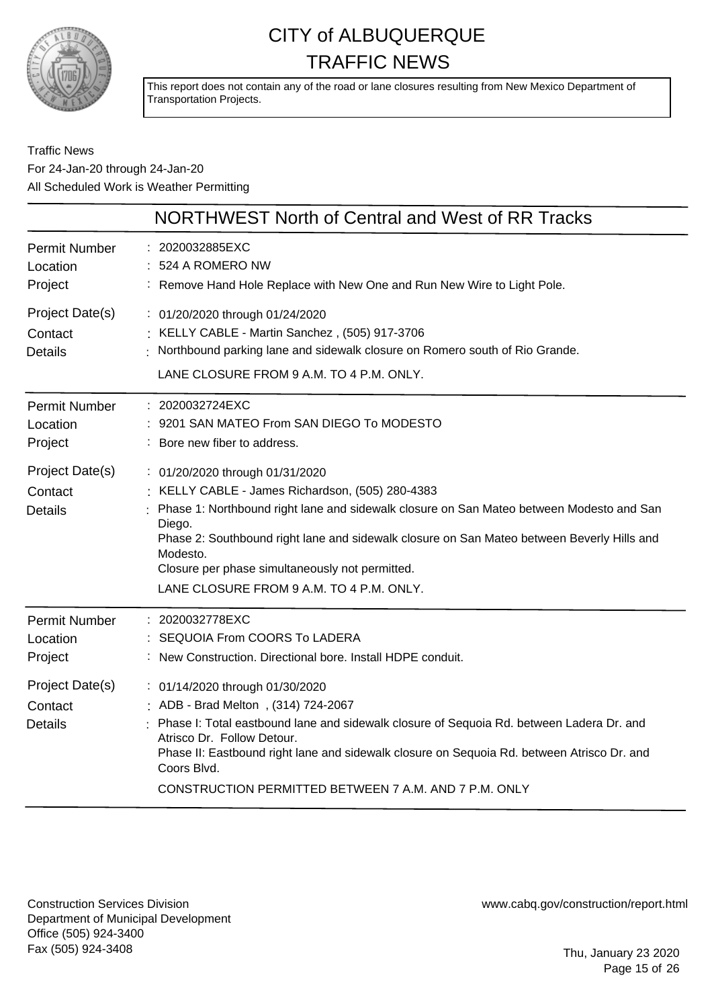

This report does not contain any of the road or lane closures resulting from New Mexico Department of Transportation Projects.

### Traffic News For 24-Jan-20 through 24-Jan-20 All Scheduled Work is Weather Permitting

|                                              | NORTHWEST North of Central and West of RR Tracks                                                                                                                                                                                                                                                                                                                                                   |
|----------------------------------------------|----------------------------------------------------------------------------------------------------------------------------------------------------------------------------------------------------------------------------------------------------------------------------------------------------------------------------------------------------------------------------------------------------|
| <b>Permit Number</b><br>Location<br>Project  | 2020032885EXC<br>524 A ROMERO NW<br>Remove Hand Hole Replace with New One and Run New Wire to Light Pole.                                                                                                                                                                                                                                                                                          |
| Project Date(s)<br>Contact<br><b>Details</b> | : 01/20/2020 through 01/24/2020<br>: KELLY CABLE - Martin Sanchez, (505) 917-3706<br>: Northbound parking lane and sidewalk closure on Romero south of Rio Grande.<br>LANE CLOSURE FROM 9 A.M. TO 4 P.M. ONLY.                                                                                                                                                                                     |
| <b>Permit Number</b><br>Location<br>Project  | : 2020032724EXC<br>9201 SAN MATEO From SAN DIEGO To MODESTO<br>Bore new fiber to address.                                                                                                                                                                                                                                                                                                          |
| Project Date(s)<br>Contact<br><b>Details</b> | : 01/20/2020 through 01/31/2020<br>: KELLY CABLE - James Richardson, (505) 280-4383<br>Phase 1: Northbound right lane and sidewalk closure on San Mateo between Modesto and San<br>Diego.<br>Phase 2: Southbound right lane and sidewalk closure on San Mateo between Beverly Hills and<br>Modesto.<br>Closure per phase simultaneously not permitted.<br>LANE CLOSURE FROM 9 A.M. TO 4 P.M. ONLY. |
| <b>Permit Number</b><br>Location<br>Project  | 2020032778EXC<br>SEQUOIA From COORS To LADERA<br>New Construction. Directional bore. Install HDPE conduit.                                                                                                                                                                                                                                                                                         |
| Project Date(s)<br>Contact<br><b>Details</b> | : 01/14/2020 through 01/30/2020<br>ADB - Brad Melton, (314) 724-2067<br>Phase I: Total eastbound lane and sidewalk closure of Sequoia Rd. between Ladera Dr. and<br>Atrisco Dr. Follow Detour.<br>Phase II: Eastbound right lane and sidewalk closure on Sequoia Rd. between Atrisco Dr. and<br>Coors Blvd.<br>CONSTRUCTION PERMITTED BETWEEN 7 A.M. AND 7 P.M. ONLY                               |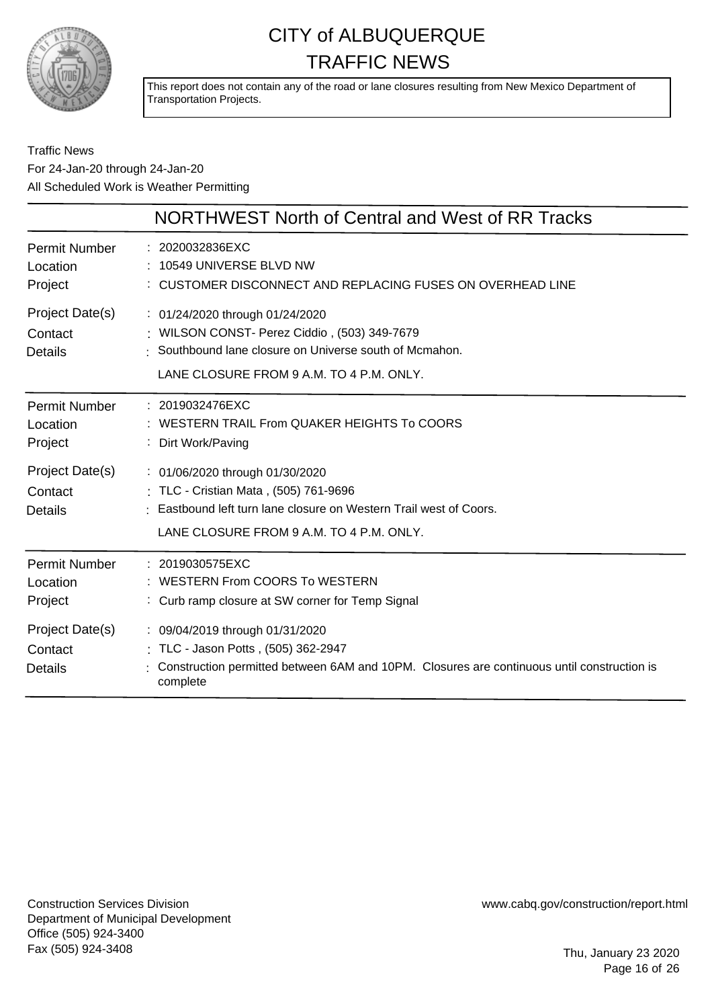

This report does not contain any of the road or lane closures resulting from New Mexico Department of Transportation Projects.

### Traffic News For 24-Jan-20 through 24-Jan-20 All Scheduled Work is Weather Permitting

|                                              | NORTHWEST North of Central and West of RR Tracks                                                                                                                                         |
|----------------------------------------------|------------------------------------------------------------------------------------------------------------------------------------------------------------------------------------------|
| <b>Permit Number</b><br>Location<br>Project  | : 2020032836EXC<br>: 10549 UNIVERSE BLVD NW<br>: CUSTOMER DISCONNECT AND REPLACING FUSES ON OVERHEAD LINE                                                                                |
| Project Date(s)<br>Contact<br><b>Details</b> | : 01/24/2020 through 01/24/2020<br>: WILSON CONST- Perez Ciddio, (503) 349-7679<br>: Southbound lane closure on Universe south of Mcmahon.<br>LANE CLOSURE FROM 9 A.M. TO 4 P.M. ONLY.   |
| <b>Permit Number</b><br>Location<br>Project  | : 2019032476EXC<br>: WESTERN TRAIL From QUAKER HEIGHTS To COORS<br>: Dirt Work/Paving                                                                                                    |
| Project Date(s)<br>Contact<br><b>Details</b> | : 01/06/2020 through 01/30/2020<br>: TLC - Cristian Mata, (505) 761-9696<br>Eastbound left turn lane closure on Western Trail west of Coors.<br>LANE CLOSURE FROM 9 A.M. TO 4 P.M. ONLY. |
| <b>Permit Number</b><br>Location<br>Project  | : 2019030575EXC<br>: WESTERN From COORS To WESTERN<br>: Curb ramp closure at SW corner for Temp Signal                                                                                   |
| Project Date(s)<br>Contact<br><b>Details</b> | : 09/04/2019 through 01/31/2020<br>: TLC - Jason Potts, (505) 362-2947<br>Construction permitted between 6AM and 10PM. Closures are continuous until construction is<br>complete         |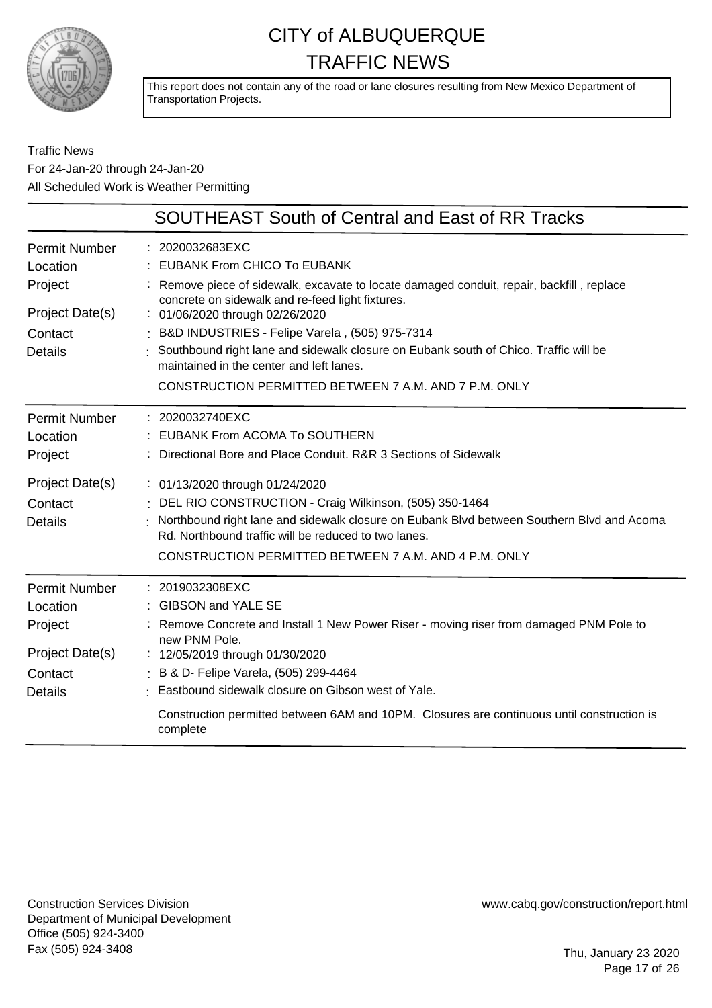

This report does not contain any of the road or lane closures resulting from New Mexico Department of Transportation Projects.

### Traffic News For 24-Jan-20 through 24-Jan-20 All Scheduled Work is Weather Permitting

|                      | <b>SOUTHEAST South of Central and East of RR Tracks</b>                                                                                           |
|----------------------|---------------------------------------------------------------------------------------------------------------------------------------------------|
| <b>Permit Number</b> | : 2020032683EXC                                                                                                                                   |
| Location             | : EUBANK From CHICO To EUBANK                                                                                                                     |
| Project              | : Remove piece of sidewalk, excavate to locate damaged conduit, repair, backfill, replace<br>concrete on sidewalk and re-feed light fixtures.     |
| Project Date(s)      | : 01/06/2020 through 02/26/2020                                                                                                                   |
| Contact              | : B&D INDUSTRIES - Felipe Varela, (505) 975-7314                                                                                                  |
| <b>Details</b>       | : Southbound right lane and sidewalk closure on Eubank south of Chico. Traffic will be<br>maintained in the center and left lanes.                |
|                      | CONSTRUCTION PERMITTED BETWEEN 7 A.M. AND 7 P.M. ONLY                                                                                             |
| <b>Permit Number</b> | : 2020032740EXC                                                                                                                                   |
| Location             | EUBANK From ACOMA To SOUTHERN                                                                                                                     |
| Project              | Directional Bore and Place Conduit. R&R 3 Sections of Sidewalk                                                                                    |
| Project Date(s)      | : 01/13/2020 through 01/24/2020                                                                                                                   |
| Contact              | DEL RIO CONSTRUCTION - Craig Wilkinson, (505) 350-1464                                                                                            |
| <b>Details</b>       | Northbound right lane and sidewalk closure on Eubank Blvd between Southern Blvd and Acoma<br>Rd. Northbound traffic will be reduced to two lanes. |
|                      | CONSTRUCTION PERMITTED BETWEEN 7 A.M. AND 4 P.M. ONLY                                                                                             |
| <b>Permit Number</b> | $: 2019032308$ EXC                                                                                                                                |
| Location             | : GIBSON and YALE SE                                                                                                                              |
| Project              | Remove Concrete and Install 1 New Power Riser - moving riser from damaged PNM Pole to<br>new PNM Pole.                                            |
| Project Date(s)      | : 12/05/2019 through 01/30/2020                                                                                                                   |
| Contact              | : B & D- Felipe Varela, (505) 299-4464                                                                                                            |
| <b>Details</b>       | · Eastbound sidewalk closure on Gibson west of Yale.                                                                                              |
|                      | Construction permitted between 6AM and 10PM. Closures are continuous until construction is<br>complete                                            |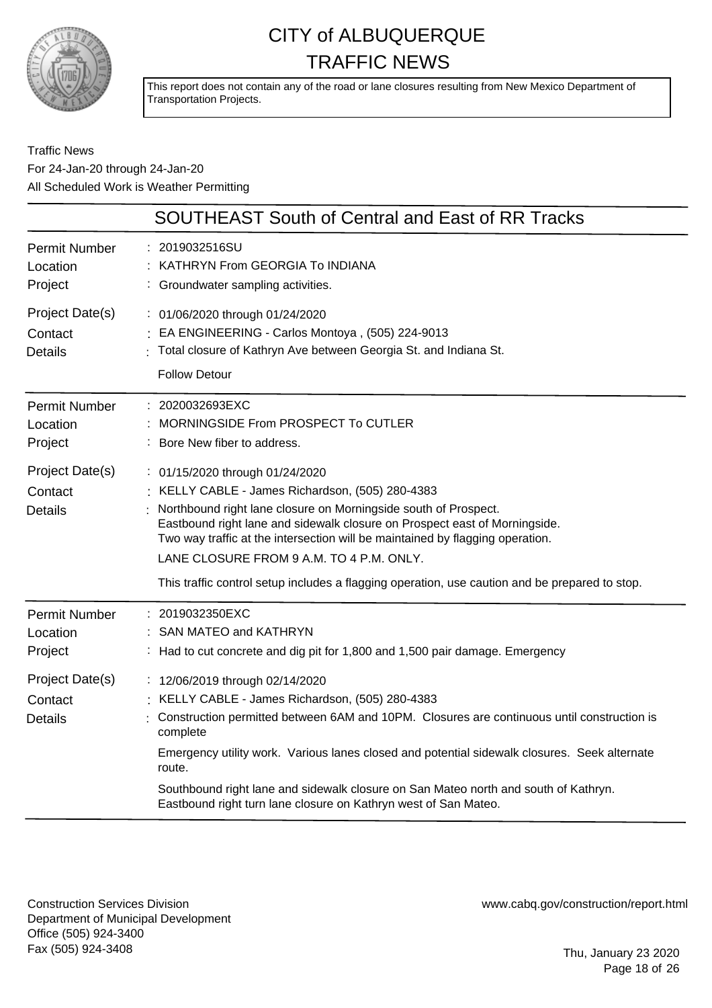

This report does not contain any of the road or lane closures resulting from New Mexico Department of Transportation Projects.

Traffic News For 24-Jan-20 through 24-Jan-20 All Scheduled Work is Weather Permitting

|                                                                                             | <b>SOUTHEAST South of Central and East of RR Tracks</b>                                                                                                                                                                                                                                                                                                                                                                                                           |
|---------------------------------------------------------------------------------------------|-------------------------------------------------------------------------------------------------------------------------------------------------------------------------------------------------------------------------------------------------------------------------------------------------------------------------------------------------------------------------------------------------------------------------------------------------------------------|
| <b>Permit Number</b><br>Location<br>Project                                                 | : 2019032516SU<br>KATHRYN From GEORGIA To INDIANA<br>: Groundwater sampling activities.                                                                                                                                                                                                                                                                                                                                                                           |
| Project Date(s)<br>Contact<br><b>Details</b>                                                | : 01/06/2020 through 01/24/2020<br>EA ENGINEERING - Carlos Montoya, (505) 224-9013<br>Total closure of Kathryn Ave between Georgia St. and Indiana St.<br><b>Follow Detour</b>                                                                                                                                                                                                                                                                                    |
| <b>Permit Number</b><br>Location<br>Project                                                 | : 2020032693EXC<br>MORNINGSIDE From PROSPECT To CUTLER<br>Bore New fiber to address.                                                                                                                                                                                                                                                                                                                                                                              |
| Project Date(s)<br>Contact<br><b>Details</b>                                                | : 01/15/2020 through 01/24/2020<br>KELLY CABLE - James Richardson, (505) 280-4383<br>Northbound right lane closure on Morningside south of Prospect.<br>Eastbound right lane and sidewalk closure on Prospect east of Morningside.<br>Two way traffic at the intersection will be maintained by flagging operation.<br>LANE CLOSURE FROM 9 A.M. TO 4 P.M. ONLY.<br>This traffic control setup includes a flagging operation, use caution and be prepared to stop. |
| <b>Permit Number</b><br>Location<br>Project<br>Project Date(s)<br>Contact<br><b>Details</b> | 2019032350EXC<br>SAN MATEO and KATHRYN<br>: Had to cut concrete and dig pit for 1,800 and 1,500 pair damage. Emergency<br>: 12/06/2019 through 02/14/2020<br>KELLY CABLE - James Richardson, (505) 280-4383<br>Construction permitted between 6AM and 10PM. Closures are continuous until construction is<br>complete                                                                                                                                             |
|                                                                                             | Emergency utility work. Various lanes closed and potential sidewalk closures. Seek alternate<br>route.<br>Southbound right lane and sidewalk closure on San Mateo north and south of Kathryn.<br>Eastbound right turn lane closure on Kathryn west of San Mateo.                                                                                                                                                                                                  |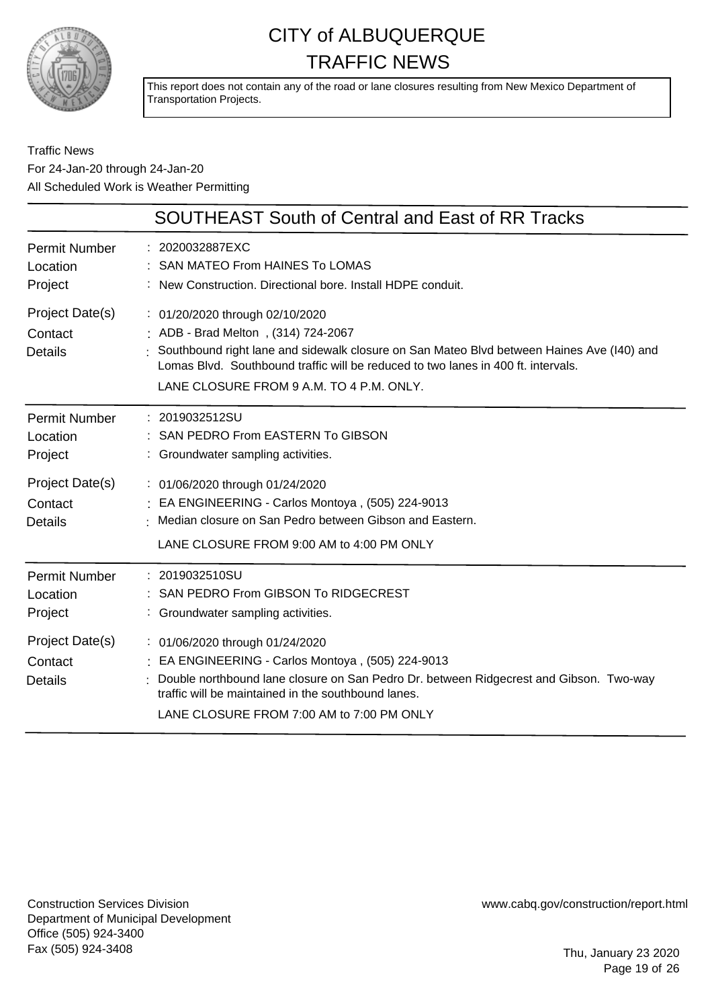

This report does not contain any of the road or lane closures resulting from New Mexico Department of Transportation Projects.

### Traffic News For 24-Jan-20 through 24-Jan-20 All Scheduled Work is Weather Permitting

|                                              | <b>SOUTHEAST South of Central and East of RR Tracks</b>                                                                                                                                                                                                                                                |
|----------------------------------------------|--------------------------------------------------------------------------------------------------------------------------------------------------------------------------------------------------------------------------------------------------------------------------------------------------------|
| <b>Permit Number</b><br>Location<br>Project  | : 2020032887EXC<br>: SAN MATEO From HAINES To LOMAS<br>: New Construction. Directional bore. Install HDPE conduit.                                                                                                                                                                                     |
| Project Date(s)<br>Contact<br><b>Details</b> | : 01/20/2020 through 02/10/2020<br>: ADB - Brad Melton, (314) 724-2067<br>: Southbound right lane and sidewalk closure on San Mateo Blvd between Haines Ave (I40) and<br>Lomas Blvd. Southbound traffic will be reduced to two lanes in 400 ft. intervals.<br>LANE CLOSURE FROM 9 A.M. TO 4 P.M. ONLY. |
| <b>Permit Number</b><br>Location<br>Project  | : 2019032512SU<br>: SAN PEDRO From EASTERN To GIBSON<br>: Groundwater sampling activities.                                                                                                                                                                                                             |
| Project Date(s)<br>Contact<br><b>Details</b> | : 01/06/2020 through 01/24/2020<br>: EA ENGINEERING - Carlos Montoya, (505) 224-9013<br>Median closure on San Pedro between Gibson and Eastern.<br>LANE CLOSURE FROM 9:00 AM to 4:00 PM ONLY                                                                                                           |
| <b>Permit Number</b><br>Location<br>Project  | : 2019032510SU<br>: SAN PEDRO From GIBSON To RIDGECREST<br>: Groundwater sampling activities.                                                                                                                                                                                                          |
| Project Date(s)<br>Contact<br><b>Details</b> | : 01/06/2020 through 01/24/2020<br>: EA ENGINEERING - Carlos Montoya, (505) 224-9013<br>Double northbound lane closure on San Pedro Dr. between Ridgecrest and Gibson. Two-way<br>traffic will be maintained in the southbound lanes.<br>LANE CLOSURE FROM 7:00 AM to 7:00 PM ONLY                     |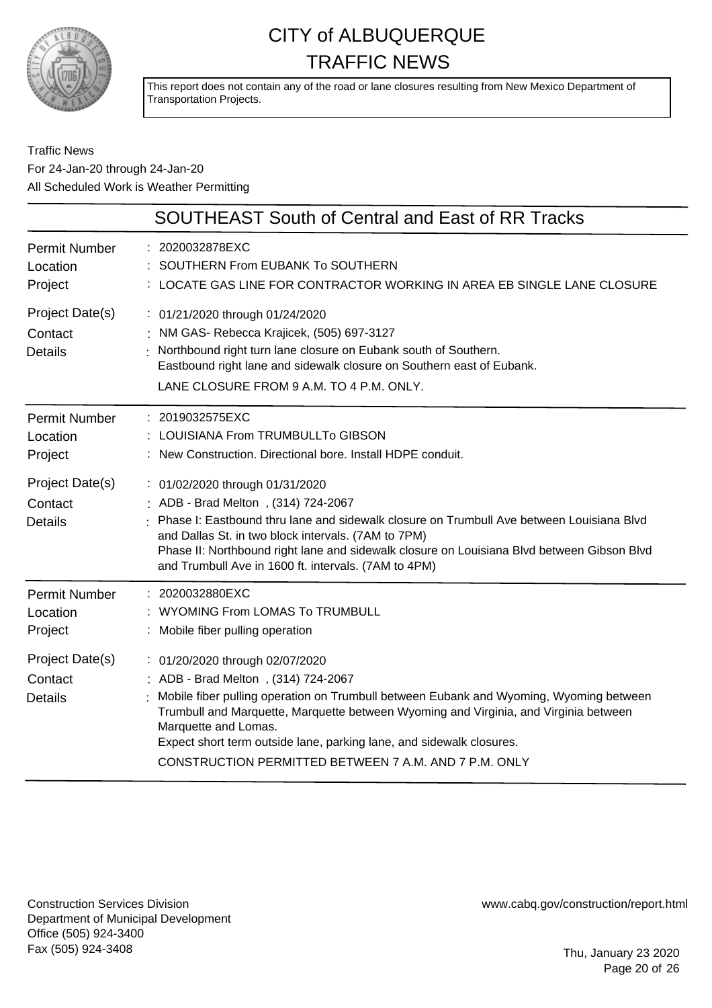

This report does not contain any of the road or lane closures resulting from New Mexico Department of Transportation Projects.

### Traffic News For 24-Jan-20 through 24-Jan-20 All Scheduled Work is Weather Permitting

|                                                                                             | <b>SOUTHEAST South of Central and East of RR Tracks</b>                                                                                                                                                                                                                                                                                                                                                                                       |
|---------------------------------------------------------------------------------------------|-----------------------------------------------------------------------------------------------------------------------------------------------------------------------------------------------------------------------------------------------------------------------------------------------------------------------------------------------------------------------------------------------------------------------------------------------|
| <b>Permit Number</b><br>Location<br>Project                                                 | : 2020032878EXC<br>SOUTHERN From EUBANK To SOUTHERN<br>: LOCATE GAS LINE FOR CONTRACTOR WORKING IN AREA EB SINGLE LANE CLOSURE                                                                                                                                                                                                                                                                                                                |
| Project Date(s)<br>Contact<br><b>Details</b>                                                | : 01/21/2020 through 01/24/2020<br>: NM GAS- Rebecca Krajicek, (505) 697-3127<br>: Northbound right turn lane closure on Eubank south of Southern.<br>Eastbound right lane and sidewalk closure on Southern east of Eubank.<br>LANE CLOSURE FROM 9 A.M. TO 4 P.M. ONLY.                                                                                                                                                                       |
| <b>Permit Number</b><br>Location<br>Project<br>Project Date(s)<br>Contact<br><b>Details</b> | : 2019032575EXC<br>: LOUISIANA From TRUMBULLTo GIBSON<br>: New Construction. Directional bore. Install HDPE conduit.<br>: 01/02/2020 through 01/31/2020<br>ADB - Brad Melton, (314) 724-2067<br>Phase I: Eastbound thru lane and sidewalk closure on Trumbull Ave between Louisiana Blvd<br>and Dallas St. in two block intervals. (7AM to 7PM)<br>Phase II: Northbound right lane and sidewalk closure on Louisiana Blvd between Gibson Blvd |
| <b>Permit Number</b><br>Location<br>Project                                                 | and Trumbull Ave in 1600 ft. intervals. (7AM to 4PM)<br>: 2020032880EXC<br>: WYOMING From LOMAS To TRUMBULL<br>: Mobile fiber pulling operation                                                                                                                                                                                                                                                                                               |
| Project Date(s)<br>Contact<br><b>Details</b>                                                | : 01/20/2020 through 02/07/2020<br>: ADB - Brad Melton, (314) 724-2067<br>Mobile fiber pulling operation on Trumbull between Eubank and Wyoming, Wyoming between<br>Trumbull and Marquette, Marquette between Wyoming and Virginia, and Virginia between<br>Marquette and Lomas.<br>Expect short term outside lane, parking lane, and sidewalk closures.<br>CONSTRUCTION PERMITTED BETWEEN 7 A.M. AND 7 P.M. ONLY                             |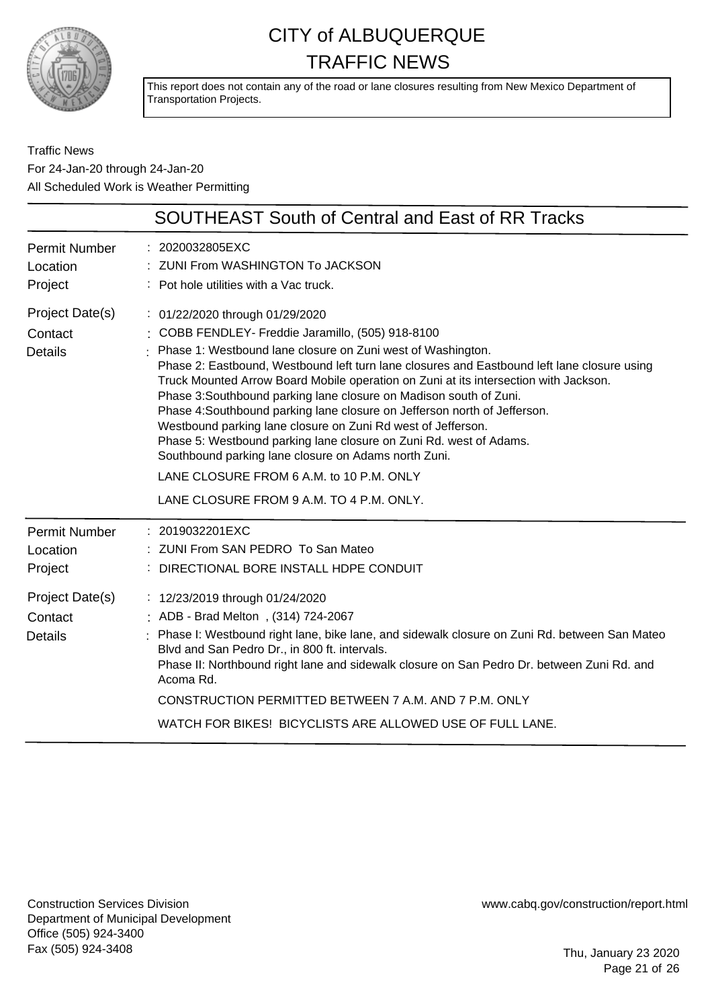

This report does not contain any of the road or lane closures resulting from New Mexico Department of Transportation Projects.

Traffic News For 24-Jan-20 through 24-Jan-20 All Scheduled Work is Weather Permitting

|                                              | <b>SOUTHEAST South of Central and East of RR Tracks</b>                                                                                                                                                                                                                                                                                                                                                                                                                                                                                                                                                                                                                                                                                                                             |
|----------------------------------------------|-------------------------------------------------------------------------------------------------------------------------------------------------------------------------------------------------------------------------------------------------------------------------------------------------------------------------------------------------------------------------------------------------------------------------------------------------------------------------------------------------------------------------------------------------------------------------------------------------------------------------------------------------------------------------------------------------------------------------------------------------------------------------------------|
| Permit Number<br>Location<br>Project         | : 2020032805EXC<br>ZUNI From WASHINGTON To JACKSON<br>: Pot hole utilities with a Vac truck.                                                                                                                                                                                                                                                                                                                                                                                                                                                                                                                                                                                                                                                                                        |
| Project Date(s)<br>Contact<br><b>Details</b> | : 01/22/2020 through 01/29/2020<br>: COBB FENDLEY- Freddie Jaramillo, (505) 918-8100<br>Phase 1: Westbound lane closure on Zuni west of Washington.<br>Phase 2: Eastbound, Westbound left turn lane closures and Eastbound left lane closure using<br>Truck Mounted Arrow Board Mobile operation on Zuni at its intersection with Jackson.<br>Phase 3: Southbound parking lane closure on Madison south of Zuni.<br>Phase 4: Southbound parking lane closure on Jefferson north of Jefferson.<br>Westbound parking lane closure on Zuni Rd west of Jefferson.<br>Phase 5: Westbound parking lane closure on Zuni Rd. west of Adams.<br>Southbound parking lane closure on Adams north Zuni.<br>LANE CLOSURE FROM 6 A.M. to 10 P.M. ONLY<br>LANE CLOSURE FROM 9 A.M. TO 4 P.M. ONLY. |
| <b>Permit Number</b><br>Location<br>Project  | : 2019032201EXC<br>: ZUNI From SAN PEDRO To San Mateo<br>: DIRECTIONAL BORE INSTALL HDPE CONDUIT                                                                                                                                                                                                                                                                                                                                                                                                                                                                                                                                                                                                                                                                                    |
| Project Date(s)<br>Contact<br><b>Details</b> | : 12/23/2019 through 01/24/2020<br>: ADB - Brad Melton, (314) 724-2067<br>Phase I: Westbound right lane, bike lane, and sidewalk closure on Zuni Rd. between San Mateo<br>Blvd and San Pedro Dr., in 800 ft. intervals.<br>Phase II: Northbound right lane and sidewalk closure on San Pedro Dr. between Zuni Rd. and<br>Acoma Rd.<br>CONSTRUCTION PERMITTED BETWEEN 7 A.M. AND 7 P.M. ONLY<br>WATCH FOR BIKES! BICYCLISTS ARE ALLOWED USE OF FULL LANE.                                                                                                                                                                                                                                                                                                                            |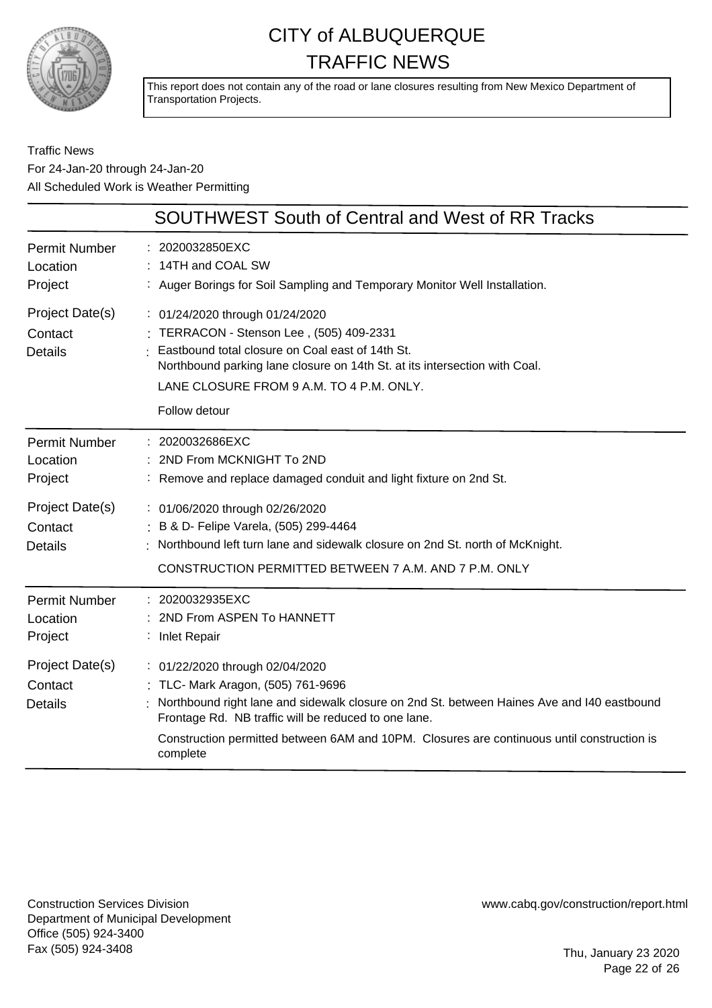

This report does not contain any of the road or lane closures resulting from New Mexico Department of Transportation Projects.

### Traffic News For 24-Jan-20 through 24-Jan-20 All Scheduled Work is Weather Permitting

|                                              | <b>SOUTHWEST South of Central and West of RR Tracks</b>                                                                                                                                                                                                                                                                             |
|----------------------------------------------|-------------------------------------------------------------------------------------------------------------------------------------------------------------------------------------------------------------------------------------------------------------------------------------------------------------------------------------|
| <b>Permit Number</b><br>Location<br>Project  | 2020032850EXC<br>14TH and COAL SW<br>: Auger Borings for Soil Sampling and Temporary Monitor Well Installation.                                                                                                                                                                                                                     |
| Project Date(s)<br>Contact<br><b>Details</b> | : 01/24/2020 through 01/24/2020<br>TERRACON - Stenson Lee, (505) 409-2331<br>Eastbound total closure on Coal east of 14th St.<br>Northbound parking lane closure on 14th St. at its intersection with Coal.<br>LANE CLOSURE FROM 9 A.M. TO 4 P.M. ONLY.<br>Follow detour                                                            |
| <b>Permit Number</b><br>Location<br>Project  | 2020032686EXC<br>2ND From MCKNIGHT To 2ND<br>: Remove and replace damaged conduit and light fixture on 2nd St.                                                                                                                                                                                                                      |
| Project Date(s)<br>Contact<br><b>Details</b> | : 01/06/2020 through 02/26/2020<br>: B & D- Felipe Varela, (505) 299-4464<br>Northbound left turn lane and sidewalk closure on 2nd St. north of McKnight.<br>CONSTRUCTION PERMITTED BETWEEN 7 A.M. AND 7 P.M. ONLY                                                                                                                  |
| <b>Permit Number</b><br>Location<br>Project  | : 2020032935EXC<br>2ND From ASPEN To HANNETT<br>: Inlet Repair                                                                                                                                                                                                                                                                      |
| Project Date(s)<br>Contact<br><b>Details</b> | : 01/22/2020 through 02/04/2020<br>TLC- Mark Aragon, (505) 761-9696<br>Northbound right lane and sidewalk closure on 2nd St. between Haines Ave and I40 eastbound<br>Frontage Rd. NB traffic will be reduced to one lane.<br>Construction permitted between 6AM and 10PM. Closures are continuous until construction is<br>complete |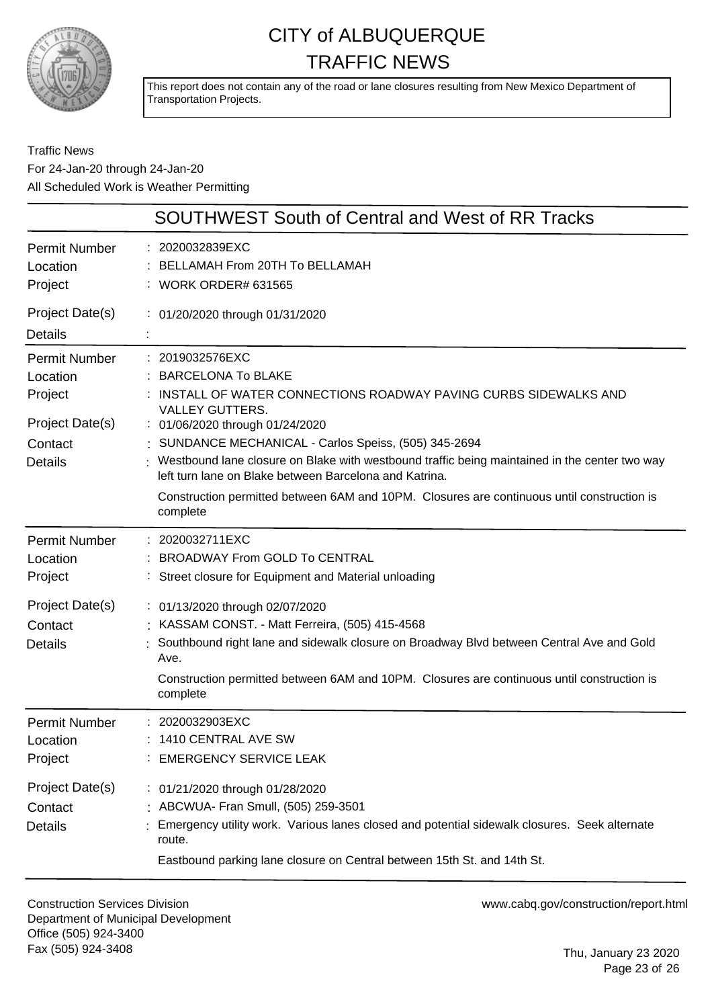

This report does not contain any of the road or lane closures resulting from New Mexico Department of Transportation Projects.

### Traffic News For 24-Jan-20 through 24-Jan-20 All Scheduled Work is Weather Permitting

| <b>SOUTHWEST South of Central and West of RR Tracks</b>                                     |                                                                                                                                                                                                                                                                                                                                                                                                                                                                                                            |  |
|---------------------------------------------------------------------------------------------|------------------------------------------------------------------------------------------------------------------------------------------------------------------------------------------------------------------------------------------------------------------------------------------------------------------------------------------------------------------------------------------------------------------------------------------------------------------------------------------------------------|--|
| <b>Permit Number</b><br>Location<br>Project                                                 | 2020032839EXC<br>BELLAMAH From 20TH To BELLAMAH<br><b>WORK ORDER# 631565</b>                                                                                                                                                                                                                                                                                                                                                                                                                               |  |
| Project Date(s)<br><b>Details</b>                                                           | : 01/20/2020 through 01/31/2020                                                                                                                                                                                                                                                                                                                                                                                                                                                                            |  |
| <b>Permit Number</b><br>Location<br>Project<br>Project Date(s)<br>Contact<br><b>Details</b> | : 2019032576EXC<br><b>BARCELONA To BLAKE</b><br>INSTALL OF WATER CONNECTIONS ROADWAY PAVING CURBS SIDEWALKS AND<br><b>VALLEY GUTTERS.</b><br>: 01/06/2020 through 01/24/2020<br>: SUNDANCE MECHANICAL - Carlos Speiss, (505) 345-2694<br>Westbound lane closure on Blake with westbound traffic being maintained in the center two way<br>left turn lane on Blake between Barcelona and Katrina.<br>Construction permitted between 6AM and 10PM. Closures are continuous until construction is<br>complete |  |
| <b>Permit Number</b><br>Location<br>Project                                                 | 2020032711EXC<br><b>BROADWAY From GOLD To CENTRAL</b><br>Street closure for Equipment and Material unloading                                                                                                                                                                                                                                                                                                                                                                                               |  |
| Project Date(s)<br>Contact<br><b>Details</b>                                                | : 01/13/2020 through 02/07/2020<br>KASSAM CONST. - Matt Ferreira, (505) 415-4568<br>Southbound right lane and sidewalk closure on Broadway Blvd between Central Ave and Gold<br>Ave.<br>Construction permitted between 6AM and 10PM. Closures are continuous until construction is<br>complete                                                                                                                                                                                                             |  |
| <b>Permit Number</b><br>Location<br>Project                                                 | : 2020032903EXC<br>1410 CENTRAL AVE SW<br>: EMERGENCY SERVICE LEAK                                                                                                                                                                                                                                                                                                                                                                                                                                         |  |
| Project Date(s)<br>Contact<br><b>Details</b>                                                | : 01/21/2020 through 01/28/2020<br>: ABCWUA- Fran Smull, (505) 259-3501<br>Emergency utility work. Various lanes closed and potential sidewalk closures. Seek alternate<br>route.<br>Eastbound parking lane closure on Central between 15th St. and 14th St.                                                                                                                                                                                                                                               |  |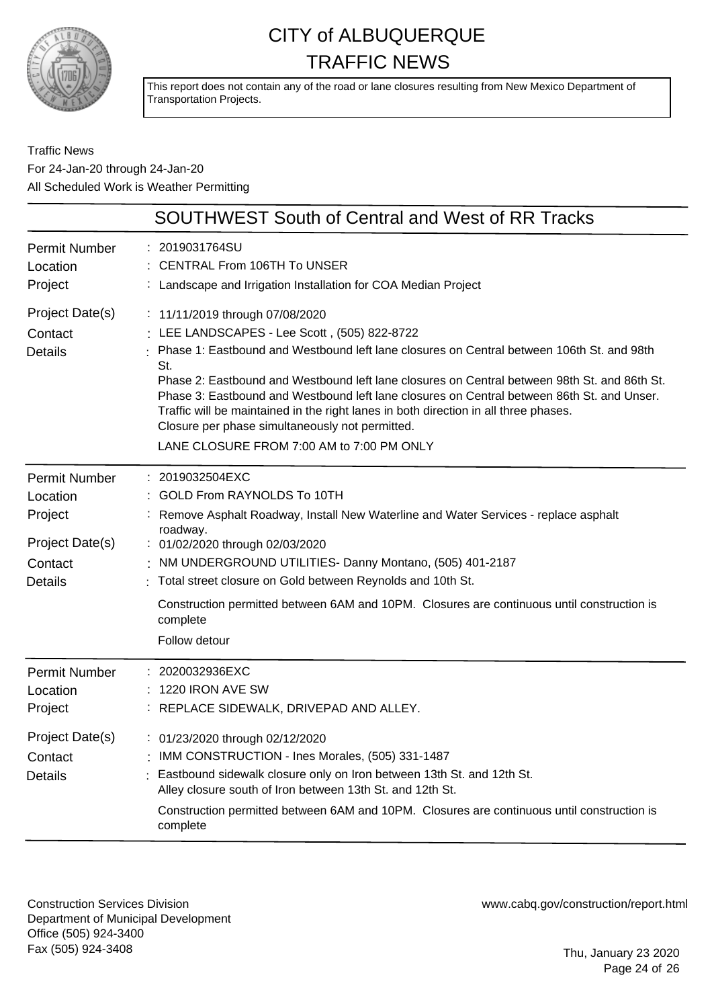

This report does not contain any of the road or lane closures resulting from New Mexico Department of Transportation Projects.

Traffic News For 24-Jan-20 through 24-Jan-20 All Scheduled Work is Weather Permitting

|                                                                                             | <b>SOUTHWEST South of Central and West of RR Tracks</b>                                                                                                                                                                                                                                                                                                                                                                                                                                                                                                                   |
|---------------------------------------------------------------------------------------------|---------------------------------------------------------------------------------------------------------------------------------------------------------------------------------------------------------------------------------------------------------------------------------------------------------------------------------------------------------------------------------------------------------------------------------------------------------------------------------------------------------------------------------------------------------------------------|
| <b>Permit Number</b><br>Location<br>Project                                                 | 2019031764SU<br><b>CENTRAL From 106TH To UNSER</b><br>: Landscape and Irrigation Installation for COA Median Project                                                                                                                                                                                                                                                                                                                                                                                                                                                      |
| Project Date(s)<br>Contact<br><b>Details</b>                                                | : 11/11/2019 through 07/08/2020<br>: LEE LANDSCAPES - Lee Scott, (505) 822-8722<br>Phase 1: Eastbound and Westbound left lane closures on Central between 106th St. and 98th<br>St.<br>Phase 2: Eastbound and Westbound left lane closures on Central between 98th St. and 86th St.<br>Phase 3: Eastbound and Westbound left lane closures on Central between 86th St. and Unser.<br>Traffic will be maintained in the right lanes in both direction in all three phases.<br>Closure per phase simultaneously not permitted.<br>LANE CLOSURE FROM 7:00 AM to 7:00 PM ONLY |
| <b>Permit Number</b><br>Location<br>Project<br>Project Date(s)<br>Contact<br><b>Details</b> | 2019032504EXC<br>GOLD From RAYNOLDS To 10TH<br>Remove Asphalt Roadway, Install New Waterline and Water Services - replace asphalt<br>roadway.<br>: 01/02/2020 through 02/03/2020<br>NM UNDERGROUND UTILITIES- Danny Montano, (505) 401-2187<br>: Total street closure on Gold between Reynolds and 10th St.<br>Construction permitted between 6AM and 10PM. Closures are continuous until construction is<br>complete<br>Follow detour                                                                                                                                    |
| <b>Permit Number</b><br>Location<br>Project<br>Project Date(s)<br>Contact<br><b>Details</b> | 2020032936EXC<br>1220 IRON AVE SW<br>: REPLACE SIDEWALK, DRIVEPAD AND ALLEY.<br>: 01/23/2020 through 02/12/2020<br>: IMM CONSTRUCTION - Ines Morales, (505) 331-1487<br>Eastbound sidewalk closure only on Iron between 13th St. and 12th St.<br>Alley closure south of Iron between 13th St. and 12th St.<br>Construction permitted between 6AM and 10PM. Closures are continuous until construction is<br>complete                                                                                                                                                      |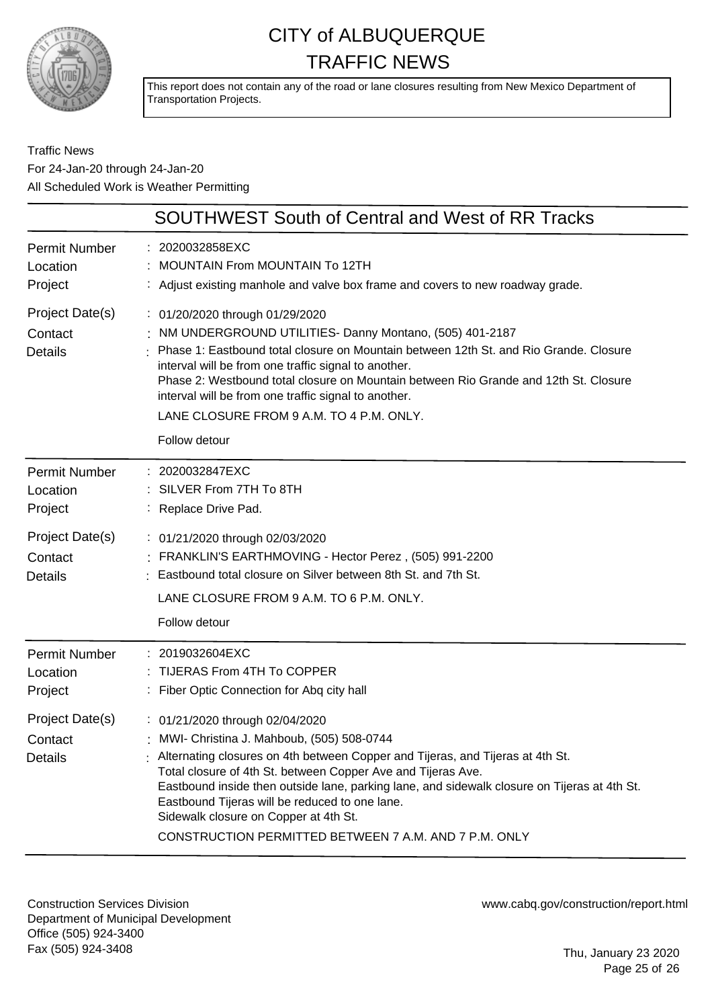

This report does not contain any of the road or lane closures resulting from New Mexico Department of Transportation Projects.

### Traffic News For 24-Jan-20 through 24-Jan-20 All Scheduled Work is Weather Permitting

|                                              | <b>SOUTHWEST South of Central and West of RR Tracks</b>                                                                                                                                                                                                                                                                                                                                                                                                                                    |
|----------------------------------------------|--------------------------------------------------------------------------------------------------------------------------------------------------------------------------------------------------------------------------------------------------------------------------------------------------------------------------------------------------------------------------------------------------------------------------------------------------------------------------------------------|
| <b>Permit Number</b><br>Location<br>Project  | 2020032858EXC<br><b>MOUNTAIN From MOUNTAIN To 12TH</b><br>: Adjust existing manhole and valve box frame and covers to new roadway grade.                                                                                                                                                                                                                                                                                                                                                   |
| Project Date(s)<br>Contact<br><b>Details</b> | : 01/20/2020 through 01/29/2020<br>NM UNDERGROUND UTILITIES- Danny Montano, (505) 401-2187<br>Phase 1: Eastbound total closure on Mountain between 12th St. and Rio Grande. Closure<br>interval will be from one traffic signal to another.<br>Phase 2: Westbound total closure on Mountain between Rio Grande and 12th St. Closure<br>interval will be from one traffic signal to another.<br>LANE CLOSURE FROM 9 A.M. TO 4 P.M. ONLY.<br>Follow detour                                   |
| <b>Permit Number</b><br>Location<br>Project  | : 2020032847EXC<br>: SILVER From 7TH To 8TH<br>: Replace Drive Pad.                                                                                                                                                                                                                                                                                                                                                                                                                        |
| Project Date(s)<br>Contact<br><b>Details</b> | : 01/21/2020 through 02/03/2020<br>FRANKLIN'S EARTHMOVING - Hector Perez, (505) 991-2200<br>: Eastbound total closure on Silver between 8th St. and 7th St.<br>LANE CLOSURE FROM 9 A.M. TO 6 P.M. ONLY.<br>Follow detour                                                                                                                                                                                                                                                                   |
| <b>Permit Number</b><br>Location<br>Project  | : 2019032604EXC<br>: TIJERAS From 4TH To COPPER<br>: Fiber Optic Connection for Abq city hall                                                                                                                                                                                                                                                                                                                                                                                              |
| Project Date(s)<br>Contact<br>Details        | : 01/21/2020 through 02/04/2020<br>: MWI- Christina J. Mahboub, (505) 508-0744<br>$\pm$ Alternating closures on 4th between Copper and Tijeras, and Tijeras at 4th St.<br>Total closure of 4th St. between Copper Ave and Tijeras Ave.<br>Eastbound inside then outside lane, parking lane, and sidewalk closure on Tijeras at 4th St.<br>Eastbound Tijeras will be reduced to one lane.<br>Sidewalk closure on Copper at 4th St.<br>CONSTRUCTION PERMITTED BETWEEN 7 A.M. AND 7 P.M. ONLY |